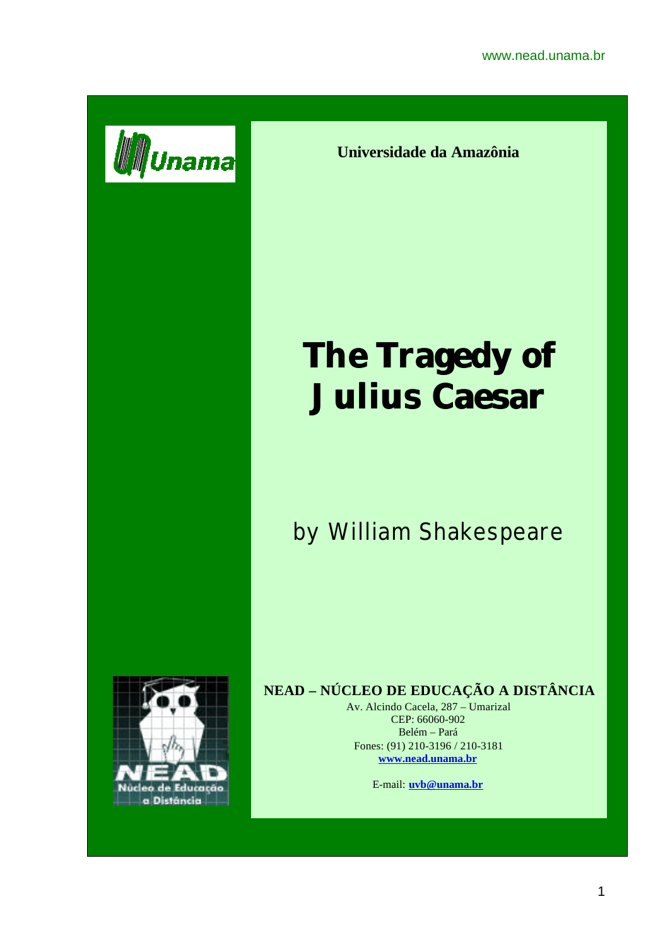

**Universidade da Amazônia**

# **The Tragedy of Julius Caesar**

## by William Shakespeare



### **NEAD – NÚCLEO DE EDUCAÇÃO A DISTÂNCIA**

Av. Alcindo Cacela, 287 – Umarizal CEP: 66060-902 Belém – Pará Fones: (91) 210-3196 / 210-3181 **www.nead.unama.br**

E-mail: **uvb@unama.br**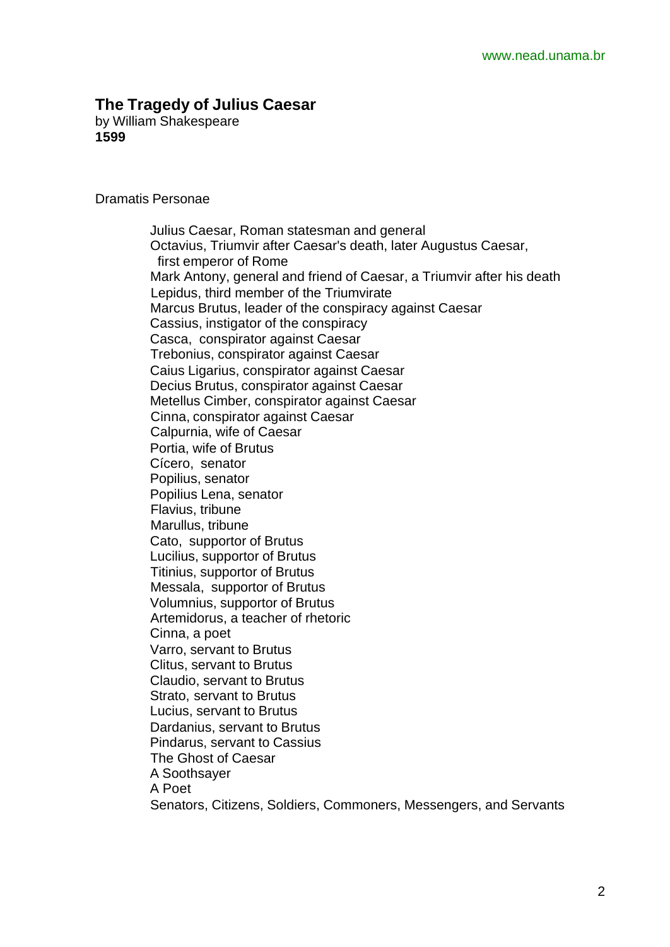#### **The Tragedy of Julius Caesar**

by William Shakespeare **1599**

Dramatis Personae

 Julius Caesar, Roman statesman and general Octavius, Triumvir after Caesar's death, later Augustus Caesar, first emperor of Rome Mark Antony, general and friend of Caesar, a Triumvir after his death Lepidus, third member of the Triumvirate Marcus Brutus, leader of the conspiracy against Caesar Cassius, instigator of the conspiracy Casca, conspirator against Caesar Trebonius, conspirator against Caesar Caius Ligarius, conspirator against Caesar Decius Brutus, conspirator against Caesar Metellus Cimber, conspirator against Caesar Cinna, conspirator against Caesar Calpurnia, wife of Caesar Portia, wife of Brutus Cícero, senator Popilius, senator Popilius Lena, senator Flavius, tribune Marullus, tribune Cato, supportor of Brutus Lucilius, supportor of Brutus Titinius, supportor of Brutus Messala, supportor of Brutus Volumnius, supportor of Brutus Artemidorus, a teacher of rhetoric Cinna, a poet Varro, servant to Brutus Clitus, servant to Brutus Claudio, servant to Brutus Strato, servant to Brutus Lucius, servant to Brutus Dardanius, servant to Brutus Pindarus, servant to Cassius The Ghost of Caesar A Soothsayer A Poet Senators, Citizens, Soldiers, Commoners, Messengers, and Servants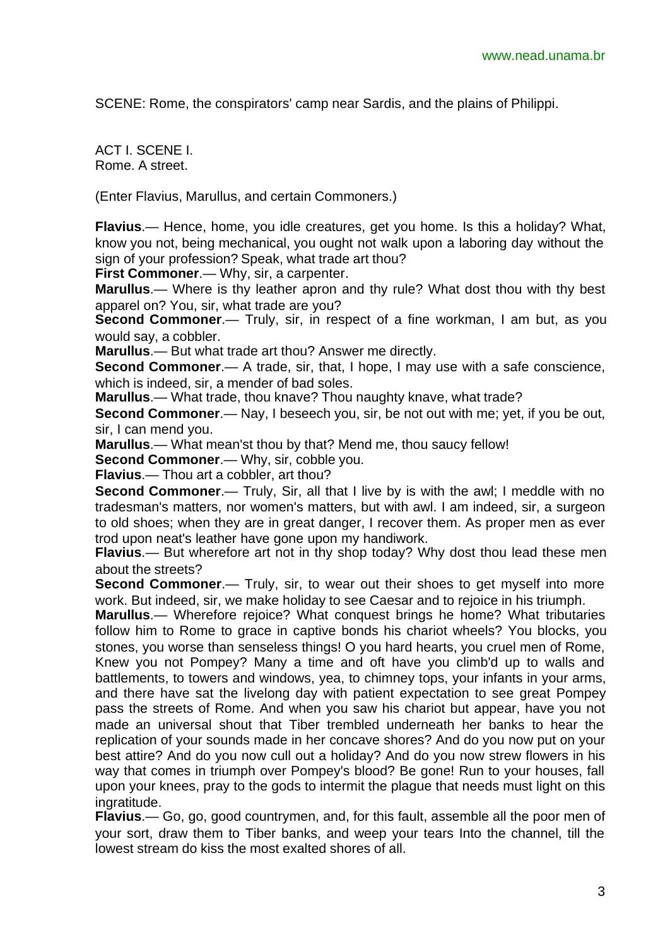SCENE: Rome, the conspirators' camp near Sardis, and the plains of Philippi.

ACT I. SCENE I. Rome. A street.

(Enter Flavius, Marullus, and certain Commoners.)

**Flavius**.— Hence, home, you idle creatures, get you home. Is this a holiday? What, know you not, being mechanical, you ought not walk upon a laboring day without the sign of your profession? Speak, what trade art thou?

**First Commoner**.— Why, sir, a carpenter.

**Marullus**.— Where is thy leather apron and thy rule? What dost thou with thy best apparel on? You, sir, what trade are you?

**Second Commoner.**— Truly, sir, in respect of a fine workman, I am but, as you would say, a cobbler.

**Marullus**.— But what trade art thou? Answer me directly.

**Second Commoner.**— A trade, sir, that, I hope, I may use with a safe conscience, which is indeed, sir, a mender of bad soles.

**Marullus**.— What trade, thou knave? Thou naughty knave, what trade?

**Second Commoner.**— Nay, I beseech you, sir, be not out with me; yet, if you be out, sir, I can mend you.

**Marullus**.— What mean'st thou by that? Mend me, thou saucy fellow!

**Second Commoner**.— Why, sir, cobble you.

**Flavius**.— Thou art a cobbler, art thou?

**Second Commoner.**— Truly, Sir, all that I live by is with the awl; I meddle with no tradesman's matters, nor women's matters, but with awl. I am indeed, sir, a surgeon to old shoes; when they are in great danger, I recover them. As proper men as ever trod upon neat's leather have gone upon my handiwork.

**Flavius**.— But wherefore art not in thy shop today? Why dost thou lead these men about the streets?

**Second Commoner.**— Truly, sir, to wear out their shoes to get myself into more work. But indeed, sir, we make holiday to see Caesar and to rejoice in his triumph.

**Marullus**.— Wherefore rejoice? What conquest brings he home? What tributaries follow him to Rome to grace in captive bonds his chariot wheels? You blocks, you stones, you worse than senseless things! O you hard hearts, you cruel men of Rome, Knew you not Pompey? Many a time and oft have you climb'd up to walls and battlements, to towers and windows, yea, to chimney tops, your infants in your arms, and there have sat the livelong day with patient expectation to see great Pompey pass the streets of Rome. And when you saw his chariot but appear, have you not made an universal shout that Tiber trembled underneath her banks to hear the replication of your sounds made in her concave shores? And do you now put on your best attire? And do you now cull out a holiday? And do you now strew flowers in his way that comes in triumph over Pompey's blood? Be gone! Run to your houses, fall upon your knees, pray to the gods to intermit the plague that needs must light on this ingratitude.

**Flavius**.— Go, go, good countrymen, and, for this fault, assemble all the poor men of your sort, draw them to Tiber banks, and weep your tears Into the channel, till the lowest stream do kiss the most exalted shores of all.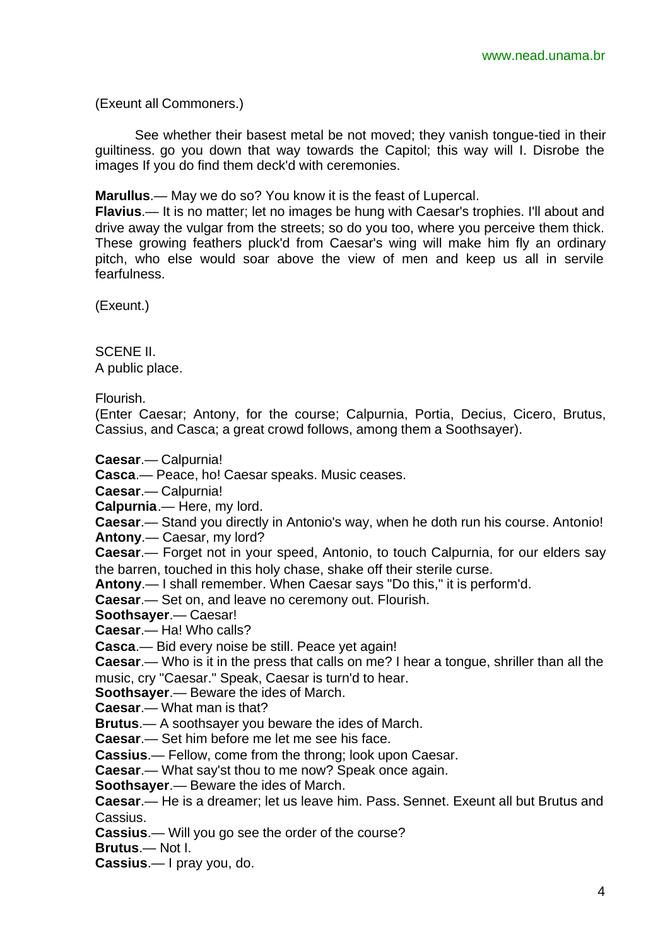(Exeunt all Commoners.)

See whether their basest metal be not moved; they vanish tongue-tied in their guiltiness. go you down that way towards the Capitol; this way will I. Disrobe the images If you do find them deck'd with ceremonies.

**Marullus**.— May we do so? You know it is the feast of Lupercal.

**Flavius**.— It is no matter; let no images be hung with Caesar's trophies. I'll about and drive away the vulgar from the streets; so do you too, where you perceive them thick. These growing feathers pluck'd from Caesar's wing will make him fly an ordinary pitch, who else would soar above the view of men and keep us all in servile fearfulness.

(Exeunt.)

SCENE II. A public place.

Flourish.

(Enter Caesar; Antony, for the course; Calpurnia, Portia, Decius, Cicero, Brutus, Cassius, and Casca; a great crowd follows, among them a Soothsayer).

**Caesar**.— Calpurnia!

**Casca**.— Peace, ho! Caesar speaks. Music ceases.

**Caesar**.— Calpurnia!

**Calpurnia**.— Here, my lord.

**Caesar**.— Stand you directly in Antonio's way, when he doth run his course. Antonio!

**Antony**.— Caesar, my lord?

**Caesar**.— Forget not in your speed, Antonio, to touch Calpurnia, for our elders say the barren, touched in this holy chase, shake off their sterile curse.

**Antony**.— I shall remember. When Caesar says "Do this," it is perform'd.

**Caesar**.— Set on, and leave no ceremony out. Flourish.

**Soothsayer**.— Caesar!

**Caesar**.— Ha! Who calls?

**Casca**.— Bid every noise be still. Peace yet again!

**Caesar**.— Who is it in the press that calls on me? I hear a tongue, shriller than all the music, cry "Caesar." Speak, Caesar is turn'd to hear.

**Soothsayer**.— Beware the ides of March.

**Caesar**.— What man is that?

**Brutus**.— A soothsayer you beware the ides of March.

**Caesar**.— Set him before me let me see his face.

**Cassius**.— Fellow, come from the throng; look upon Caesar.

**Caesar**.— What say'st thou to me now? Speak once again.

**Soothsayer**.— Beware the ides of March.

**Caesar**.— He is a dreamer; let us leave him. Pass. Sennet. Exeunt all but Brutus and Cassius.

**Cassius**.— Will you go see the order of the course?

**Brutus**.— Not I.

**Cassius**.— I pray you, do.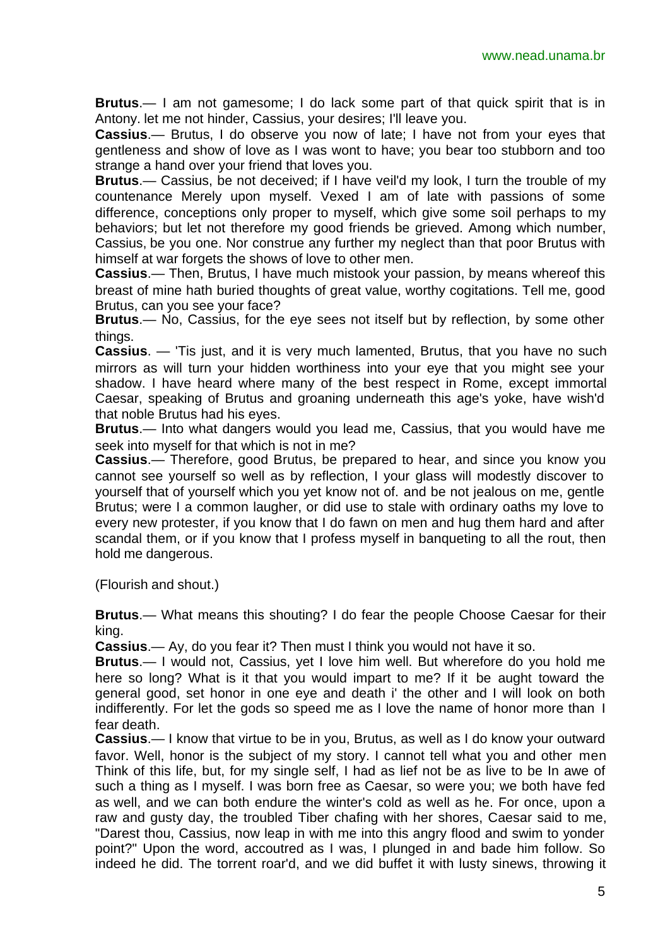**Brutus**.— I am not gamesome; I do lack some part of that quick spirit that is in Antony. let me not hinder, Cassius, your desires; I'll leave you.

**Cassius**.— Brutus, I do observe you now of late; I have not from your eyes that gentleness and show of love as I was wont to have; you bear too stubborn and too strange a hand over your friend that loves you.

**Brutus**.— Cassius, be not deceived; if I have veil'd my look, I turn the trouble of my countenance Merely upon myself. Vexed I am of late with passions of some difference, conceptions only proper to myself, which give some soil perhaps to my behaviors; but let not therefore my good friends be grieved. Among which number, Cassius, be you one. Nor construe any further my neglect than that poor Brutus with himself at war forgets the shows of love to other men.

**Cassius**.— Then, Brutus, I have much mistook your passion, by means whereof this breast of mine hath buried thoughts of great value, worthy cogitations. Tell me, good Brutus, can you see your face?

**Brutus**.— No, Cassius, for the eye sees not itself but by reflection, by some other things.

**Cassius**. — 'Tis just, and it is very much lamented, Brutus, that you have no such mirrors as will turn your hidden worthiness into your eye that you might see your shadow. I have heard where many of the best respect in Rome, except immortal Caesar, speaking of Brutus and groaning underneath this age's yoke, have wish'd that noble Brutus had his eyes.

**Brutus**.— Into what dangers would you lead me, Cassius, that you would have me seek into myself for that which is not in me?

**Cassius**.— Therefore, good Brutus, be prepared to hear, and since you know you cannot see yourself so well as by reflection, I your glass will modestly discover to yourself that of yourself which you yet know not of. and be not jealous on me, gentle Brutus; were I a common laugher, or did use to stale with ordinary oaths my love to every new protester, if you know that I do fawn on men and hug them hard and after scandal them, or if you know that I profess myself in banqueting to all the rout, then hold me dangerous.

(Flourish and shout.)

**Brutus**.— What means this shouting? I do fear the people Choose Caesar for their king.

**Cassius**.— Ay, do you fear it? Then must I think you would not have it so.

**Brutus**.— I would not, Cassius, yet I love him well. But wherefore do you hold me here so long? What is it that you would impart to me? If it be aught toward the general good, set honor in one eye and death i' the other and I will look on both indifferently. For let the gods so speed me as I love the name of honor more than I fear death.

**Cassius**.— I know that virtue to be in you, Brutus, as well as I do know your outward favor. Well, honor is the subject of my story. I cannot tell what you and other men Think of this life, but, for my single self, I had as lief not be as live to be In awe of such a thing as I myself. I was born free as Caesar, so were you; we both have fed as well, and we can both endure the winter's cold as well as he. For once, upon a raw and gusty day, the troubled Tiber chafing with her shores, Caesar said to me, "Darest thou, Cassius, now leap in with me into this angry flood and swim to yonder point?" Upon the word, accoutred as I was, I plunged in and bade him follow. So indeed he did. The torrent roar'd, and we did buffet it with lusty sinews, throwing it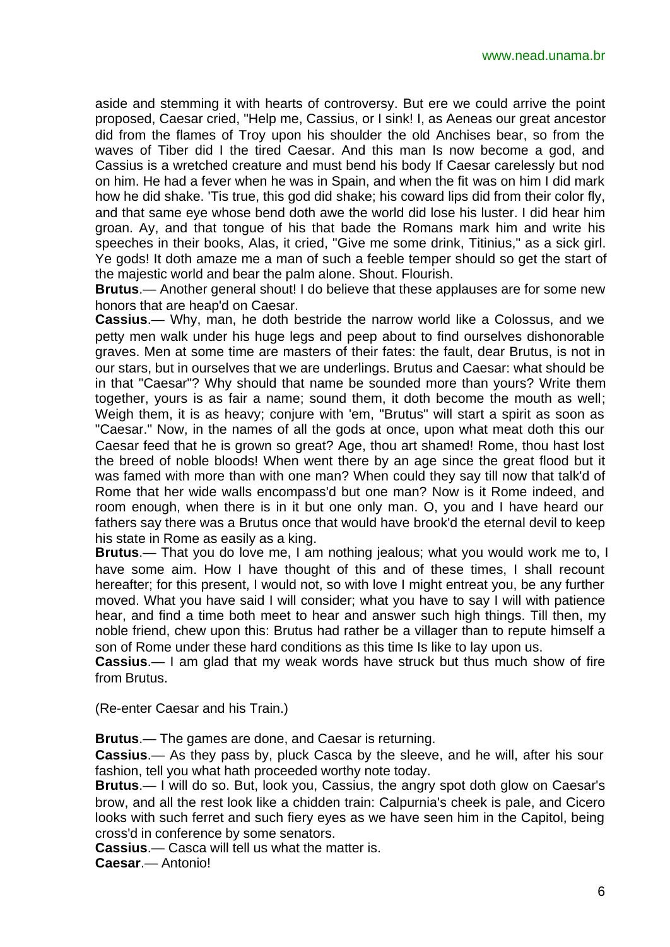aside and stemming it with hearts of controversy. But ere we could arrive the point proposed, Caesar cried, "Help me, Cassius, or I sink! I, as Aeneas our great ancestor did from the flames of Troy upon his shoulder the old Anchises bear, so from the waves of Tiber did I the tired Caesar. And this man Is now become a god, and Cassius is a wretched creature and must bend his body If Caesar carelessly but nod on him. He had a fever when he was in Spain, and when the fit was on him I did mark how he did shake. 'Tis true, this god did shake; his coward lips did from their color fly, and that same eye whose bend doth awe the world did lose his luster. I did hear him groan. Ay, and that tongue of his that bade the Romans mark him and write his speeches in their books, Alas, it cried, "Give me some drink, Titinius," as a sick girl. Ye gods! It doth amaze me a man of such a feeble temper should so get the start of the majestic world and bear the palm alone. Shout. Flourish.

**Brutus**.— Another general shout! I do believe that these applauses are for some new honors that are heap'd on Caesar.

**Cassius**.— Why, man, he doth bestride the narrow world like a Colossus, and we petty men walk under his huge legs and peep about to find ourselves dishonorable graves. Men at some time are masters of their fates: the fault, dear Brutus, is not in our stars, but in ourselves that we are underlings. Brutus and Caesar: what should be in that "Caesar"? Why should that name be sounded more than yours? Write them together, yours is as fair a name; sound them, it doth become the mouth as well; Weigh them, it is as heavy; conjure with 'em, "Brutus" will start a spirit as soon as "Caesar." Now, in the names of all the gods at once, upon what meat doth this our Caesar feed that he is grown so great? Age, thou art shamed! Rome, thou hast lost the breed of noble bloods! When went there by an age since the great flood but it was famed with more than with one man? When could they say till now that talk'd of Rome that her wide walls encompass'd but one man? Now is it Rome indeed, and room enough, when there is in it but one only man. O, you and I have heard our fathers say there was a Brutus once that would have brook'd the eternal devil to keep his state in Rome as easily as a king.

**Brutus**.— That you do love me, I am nothing jealous; what you would work me to, I have some aim. How I have thought of this and of these times, I shall recount hereafter; for this present, I would not, so with love I might entreat you, be any further moved. What you have said I will consider; what you have to say I will with patience hear, and find a time both meet to hear and answer such high things. Till then, my noble friend, chew upon this: Brutus had rather be a villager than to repute himself a son of Rome under these hard conditions as this time Is like to lay upon us.

**Cassius**.— I am glad that my weak words have struck but thus much show of fire from Brutus.

(Re-enter Caesar and his Train.)

**Brutus**.— The games are done, and Caesar is returning.

**Cassius**.— As they pass by, pluck Casca by the sleeve, and he will, after his sour fashion, tell you what hath proceeded worthy note today.

**Brutus**.— I will do so. But, look you, Cassius, the angry spot doth glow on Caesar's brow, and all the rest look like a chidden train: Calpurnia's cheek is pale, and Cicero looks with such ferret and such fiery eyes as we have seen him in the Capitol, being cross'd in conference by some senators.

**Cassius**.— Casca will tell us what the matter is.

**Caesar**.— Antonio!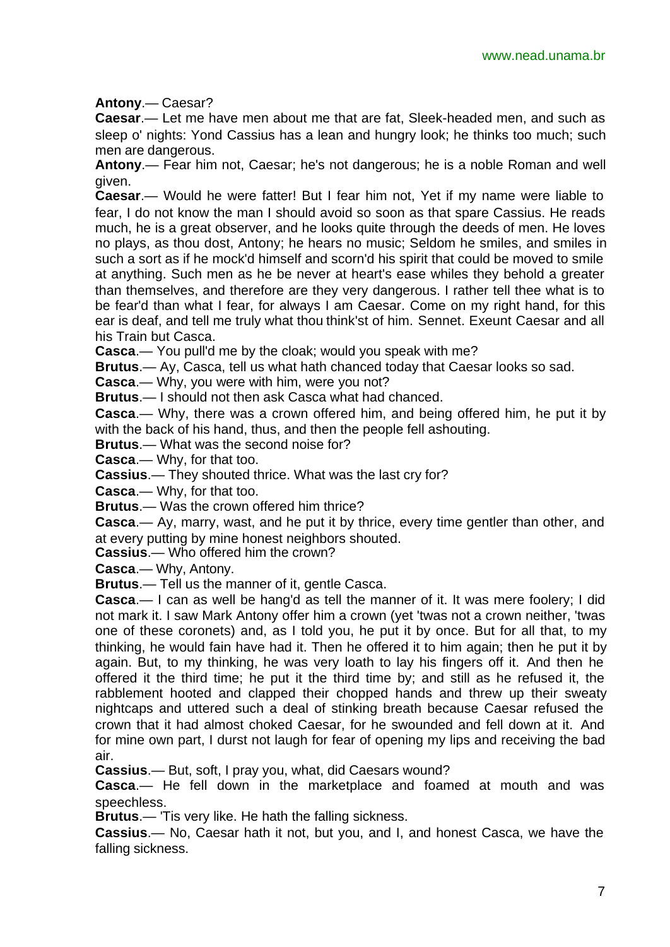**Antony**.— Caesar?

**Caesar**.— Let me have men about me that are fat, Sleek-headed men, and such as sleep o' nights: Yond Cassius has a lean and hungry look; he thinks too much; such men are dangerous.

**Antony**.— Fear him not, Caesar; he's not dangerous; he is a noble Roman and well given.

**Caesar**.— Would he were fatter! But I fear him not, Yet if my name were liable to fear, I do not know the man I should avoid so soon as that spare Cassius. He reads much, he is a great observer, and he looks quite through the deeds of men. He loves no plays, as thou dost, Antony; he hears no music; Seldom he smiles, and smiles in such a sort as if he mock'd himself and scorn'd his spirit that could be moved to smile at anything. Such men as he be never at heart's ease whiles they behold a greater than themselves, and therefore are they very dangerous. I rather tell thee what is to be fear'd than what I fear, for always I am Caesar. Come on my right hand, for this ear is deaf, and tell me truly what thou think'st of him. Sennet. Exeunt Caesar and all his Train but Casca.

**Casca**.— You pull'd me by the cloak; would you speak with me?

**Brutus**.— Ay, Casca, tell us what hath chanced today that Caesar looks so sad.

**Casca**.— Why, you were with him, were you not?

**Brutus**.— I should not then ask Casca what had chanced.

**Casca**.— Why, there was a crown offered him, and being offered him, he put it by with the back of his hand, thus, and then the people fell ashouting.

**Brutus**.— What was the second noise for?

**Casca**.— Why, for that too.

**Cassius**.— They shouted thrice. What was the last cry for?

**Casca**.— Why, for that too.

**Brutus**.— Was the crown offered him thrice?

**Casca**.— Ay, marry, wast, and he put it by thrice, every time gentler than other, and at every putting by mine honest neighbors shouted.

**Cassius**.— Who offered him the crown?

**Casca**.— Why, Antony.

**Brutus**.— Tell us the manner of it, gentle Casca.

**Casca**.— I can as well be hang'd as tell the manner of it. It was mere foolery; I did not mark it. I saw Mark Antony offer him a crown (yet 'twas not a crown neither, 'twas one of these coronets) and, as I told you, he put it by once. But for all that, to my thinking, he would fain have had it. Then he offered it to him again; then he put it by again. But, to my thinking, he was very loath to lay his fingers off it. And then he offered it the third time; he put it the third time by; and still as he refused it, the rabblement hooted and clapped their chopped hands and threw up their sweaty nightcaps and uttered such a deal of stinking breath because Caesar refused the crown that it had almost choked Caesar, for he swounded and fell down at it. And for mine own part, I durst not laugh for fear of opening my lips and receiving the bad air.

**Cassius**.— But, soft, I pray you, what, did Caesars wound?

**Casca**.— He fell down in the marketplace and foamed at mouth and was speechless.

**Brutus**.— 'Tis very like. He hath the falling sickness.

**Cassius**.— No, Caesar hath it not, but you, and I, and honest Casca, we have the falling sickness.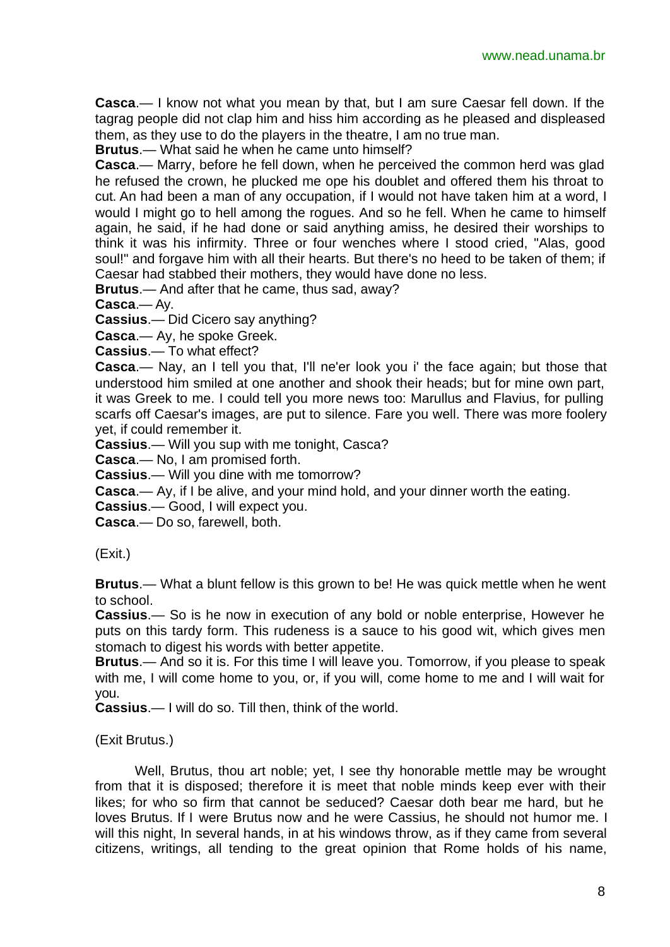**Casca**.— I know not what you mean by that, but I am sure Caesar fell down. If the tagrag people did not clap him and hiss him according as he pleased and displeased them, as they use to do the players in the theatre, I am no true man.

**Brutus**.— What said he when he came unto himself?

**Casca**.— Marry, before he fell down, when he perceived the common herd was glad he refused the crown, he plucked me ope his doublet and offered them his throat to cut. An had been a man of any occupation, if I would not have taken him at a word, I would I might go to hell among the rogues. And so he fell. When he came to himself again, he said, if he had done or said anything amiss, he desired their worships to think it was his infirmity. Three or four wenches where I stood cried, "Alas, good soul!" and forgave him with all their hearts. But there's no heed to be taken of them; if Caesar had stabbed their mothers, they would have done no less.

**Brutus**.— And after that he came, thus sad, away?

**Casca**.— Ay.

**Cassius**.— Did Cicero say anything?

**Casca**.— Ay, he spoke Greek.

**Cassius**.— To what effect?

**Casca**.— Nay, an I tell you that, I'll ne'er look you i' the face again; but those that understood him smiled at one another and shook their heads; but for mine own part, it was Greek to me. I could tell you more news too: Marullus and Flavius, for pulling scarfs off Caesar's images, are put to silence. Fare you well. There was more foolery yet, if could remember it.

**Cassius**.— Will you sup with me tonight, Casca?

**Casca**.— No, I am promised forth.

**Cassius**.— Will you dine with me tomorrow?

**Casca**.— Ay, if I be alive, and your mind hold, and your dinner worth the eating.

**Cassius**.— Good, I will expect you.

**Casca**.— Do so, farewell, both.

(Exit.)

**Brutus**.— What a blunt fellow is this grown to be! He was quick mettle when he went to school.

**Cassius**.— So is he now in execution of any bold or noble enterprise, However he puts on this tardy form. This rudeness is a sauce to his good wit, which gives men stomach to digest his words with better appetite.

**Brutus**.— And so it is. For this time I will leave you. Tomorrow, if you please to speak with me, I will come home to you, or, if you will, come home to me and I will wait for you.

**Cassius**.— I will do so. Till then, think of the world.

#### (Exit Brutus.)

Well, Brutus, thou art noble; yet, I see thy honorable mettle may be wrought from that it is disposed; therefore it is meet that noble minds keep ever with their likes; for who so firm that cannot be seduced? Caesar doth bear me hard, but he loves Brutus. If I were Brutus now and he were Cassius, he should not humor me. I will this night, In several hands, in at his windows throw, as if they came from several citizens, writings, all tending to the great opinion that Rome holds of his name,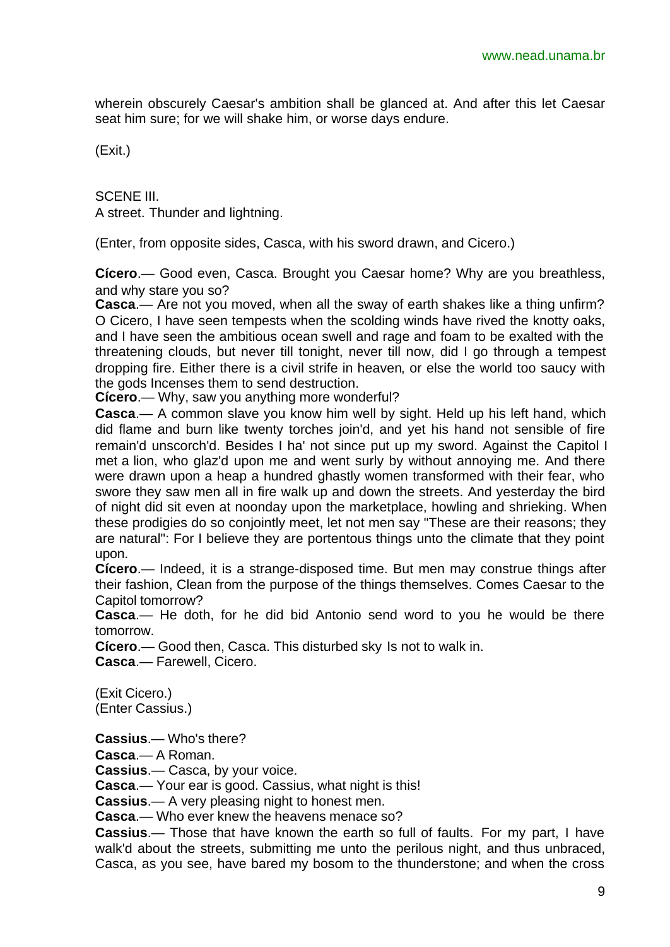wherein obscurely Caesar's ambition shall be glanced at. And after this let Caesar seat him sure; for we will shake him, or worse days endure.

(Exit.)

SCENE III. A street. Thunder and lightning.

(Enter, from opposite sides, Casca, with his sword drawn, and Cicero.)

**Cícero**.— Good even, Casca. Brought you Caesar home? Why are you breathless, and why stare you so?

**Casca**.— Are not you moved, when all the sway of earth shakes like a thing unfirm? O Cicero, I have seen tempests when the scolding winds have rived the knotty oaks, and I have seen the ambitious ocean swell and rage and foam to be exalted with the threatening clouds, but never till tonight, never till now, did I go through a tempest dropping fire. Either there is a civil strife in heaven, or else the world too saucy with the gods Incenses them to send destruction.

**Cícero**.— Why, saw you anything more wonderful?

**Casca**.— A common slave you know him well by sight. Held up his left hand, which did flame and burn like twenty torches join'd, and yet his hand not sensible of fire remain'd unscorch'd. Besides I ha' not since put up my sword. Against the Capitol I met a lion, who glaz'd upon me and went surly by without annoying me. And there were drawn upon a heap a hundred ghastly women transformed with their fear, who swore they saw men all in fire walk up and down the streets. And yesterday the bird of night did sit even at noonday upon the marketplace, howling and shrieking. When these prodigies do so conjointly meet, let not men say "These are their reasons; they are natural": For I believe they are portentous things unto the climate that they point upon.

**Cícero**.— Indeed, it is a strange-disposed time. But men may construe things after their fashion, Clean from the purpose of the things themselves. Comes Caesar to the Capitol tomorrow?

**Casca**.— He doth, for he did bid Antonio send word to you he would be there tomorrow.

**Cícero**.— Good then, Casca. This disturbed sky Is not to walk in.

**Casca**.— Farewell, Cicero.

(Exit Cicero.) (Enter Cassius.)

**Cassius**.— Who's there?

**Casca**.— A Roman.

**Cassius**.— Casca, by your voice.

**Casca**.— Your ear is good. Cassius, what night is this!

**Cassius**.— A very pleasing night to honest men.

**Casca**.— Who ever knew the heavens menace so?

**Cassius**.— Those that have known the earth so full of faults. For my part, I have walk'd about the streets, submitting me unto the perilous night, and thus unbraced, Casca, as you see, have bared my bosom to the thunderstone; and when the cross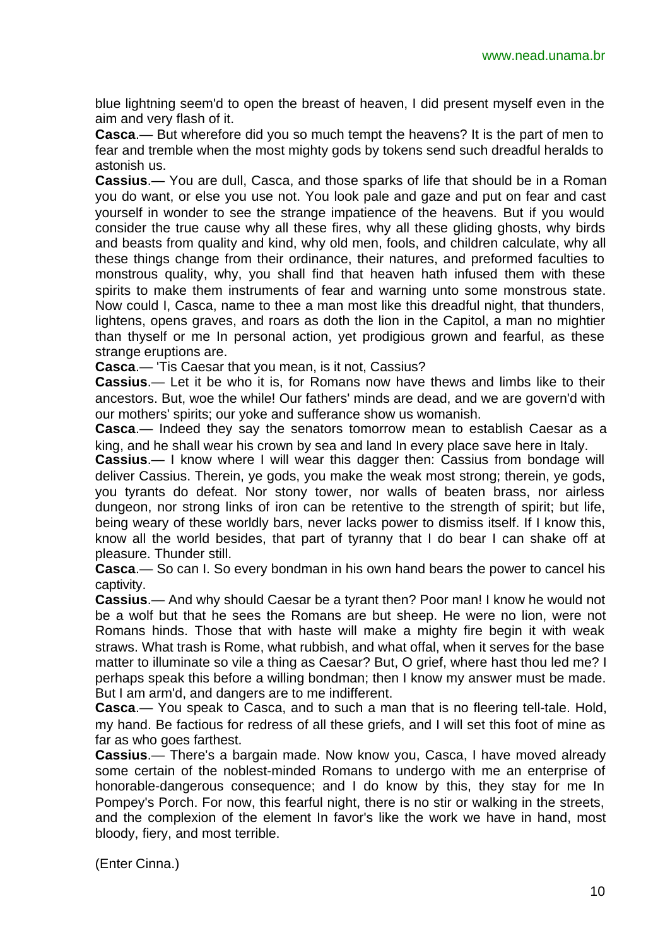blue lightning seem'd to open the breast of heaven, I did present myself even in the aim and very flash of it.

**Casca**.— But wherefore did you so much tempt the heavens? It is the part of men to fear and tremble when the most mighty gods by tokens send such dreadful heralds to astonish us.

**Cassius**.— You are dull, Casca, and those sparks of life that should be in a Roman you do want, or else you use not. You look pale and gaze and put on fear and cast yourself in wonder to see the strange impatience of the heavens. But if you would consider the true cause why all these fires, why all these gliding ghosts, why birds and beasts from quality and kind, why old men, fools, and children calculate, why all these things change from their ordinance, their natures, and preformed faculties to monstrous quality, why, you shall find that heaven hath infused them with these spirits to make them instruments of fear and warning unto some monstrous state. Now could I, Casca, name to thee a man most like this dreadful night, that thunders, lightens, opens graves, and roars as doth the lion in the Capitol, a man no mightier than thyself or me In personal action, yet prodigious grown and fearful, as these strange eruptions are.

**Casca**.— 'Tis Caesar that you mean, is it not, Cassius?

**Cassius**.— Let it be who it is, for Romans now have thews and limbs like to their ancestors. But, woe the while! Our fathers' minds are dead, and we are govern'd with our mothers' spirits; our yoke and sufferance show us womanish.

**Casca**.— Indeed they say the senators tomorrow mean to establish Caesar as a king, and he shall wear his crown by sea and land In every place save here in Italy.

**Cassius**.— I know where I will wear this dagger then: Cassius from bondage will deliver Cassius. Therein, ye gods, you make the weak most strong; therein, ye gods, you tyrants do defeat. Nor stony tower, nor walls of beaten brass, nor airless dungeon, nor strong links of iron can be retentive to the strength of spirit; but life, being weary of these worldly bars, never lacks power to dismiss itself. If I know this, know all the world besides, that part of tyranny that I do bear I can shake off at pleasure. Thunder still.

**Casca**.— So can I. So every bondman in his own hand bears the power to cancel his captivity.

**Cassius**.— And why should Caesar be a tyrant then? Poor man! I know he would not be a wolf but that he sees the Romans are but sheep. He were no lion, were not Romans hinds. Those that with haste will make a mighty fire begin it with weak straws. What trash is Rome, what rubbish, and what offal, when it serves for the base matter to illuminate so vile a thing as Caesar? But, O grief, where hast thou led me? I perhaps speak this before a willing bondman; then I know my answer must be made. But I am arm'd, and dangers are to me indifferent.

**Casca**.— You speak to Casca, and to such a man that is no fleering tell-tale. Hold, my hand. Be factious for redress of all these griefs, and I will set this foot of mine as far as who goes farthest.

**Cassius**.— There's a bargain made. Now know you, Casca, I have moved already some certain of the noblest-minded Romans to undergo with me an enterprise of honorable-dangerous consequence; and I do know by this, they stay for me In Pompey's Porch. For now, this fearful night, there is no stir or walking in the streets, and the complexion of the element In favor's like the work we have in hand, most bloody, fiery, and most terrible.

(Enter Cinna.)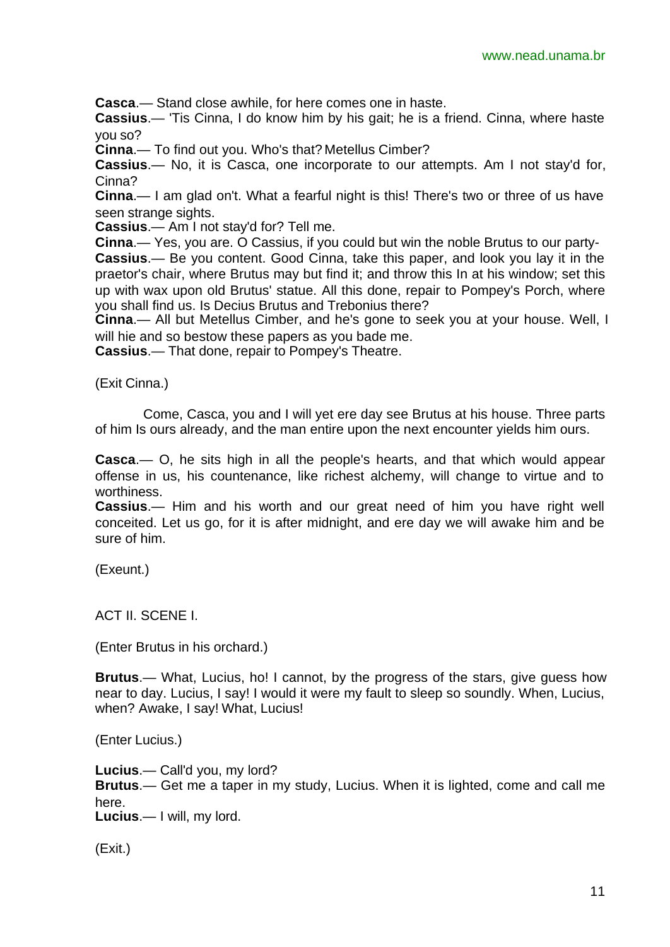**Casca**.— Stand close awhile, for here comes one in haste.

**Cassius**.— 'Tis Cinna, I do know him by his gait; he is a friend. Cinna, where haste you so?

**Cinna**.— To find out you. Who's that? Metellus Cimber?

**Cassius**.— No, it is Casca, one incorporate to our attempts. Am I not stay'd for, Cinna?

**Cinna**.— I am glad on't. What a fearful night is this! There's two or three of us have seen strange sights.

**Cassius**.— Am I not stay'd for? Tell me.

**Cinna**.— Yes, you are. O Cassius, if you could but win the noble Brutus to our party-

**Cassius**.— Be you content. Good Cinna, take this paper, and look you lay it in the praetor's chair, where Brutus may but find it; and throw this In at his window; set this up with wax upon old Brutus' statue. All this done, repair to Pompey's Porch, where you shall find us. Is Decius Brutus and Trebonius there?

**Cinna**.— All but Metellus Cimber, and he's gone to seek you at your house. Well, I will hie and so bestow these papers as you bade me.

**Cassius**.— That done, repair to Pompey's Theatre.

(Exit Cinna.)

Come, Casca, you and I will yet ere day see Brutus at his house. Three parts of him Is ours already, and the man entire upon the next encounter yields him ours.

**Casca**.— O, he sits high in all the people's hearts, and that which would appear offense in us, his countenance, like richest alchemy, will change to virtue and to worthiness.

**Cassius**.— Him and his worth and our great need of him you have right well conceited. Let us go, for it is after midnight, and ere day we will awake him and be sure of him.

(Exeunt.)

ACT II. SCENE I.

(Enter Brutus in his orchard.)

**Brutus**.— What, Lucius, ho! I cannot, by the progress of the stars, give guess how near to day. Lucius, I say! I would it were my fault to sleep so soundly. When, Lucius, when? Awake, I say! What, Lucius!

(Enter Lucius.)

**Lucius**.— Call'd you, my lord?

**Brutus**.— Get me a taper in my study, Lucius. When it is lighted, come and call me here.

**Lucius**.— I will, my lord.

(Exit.)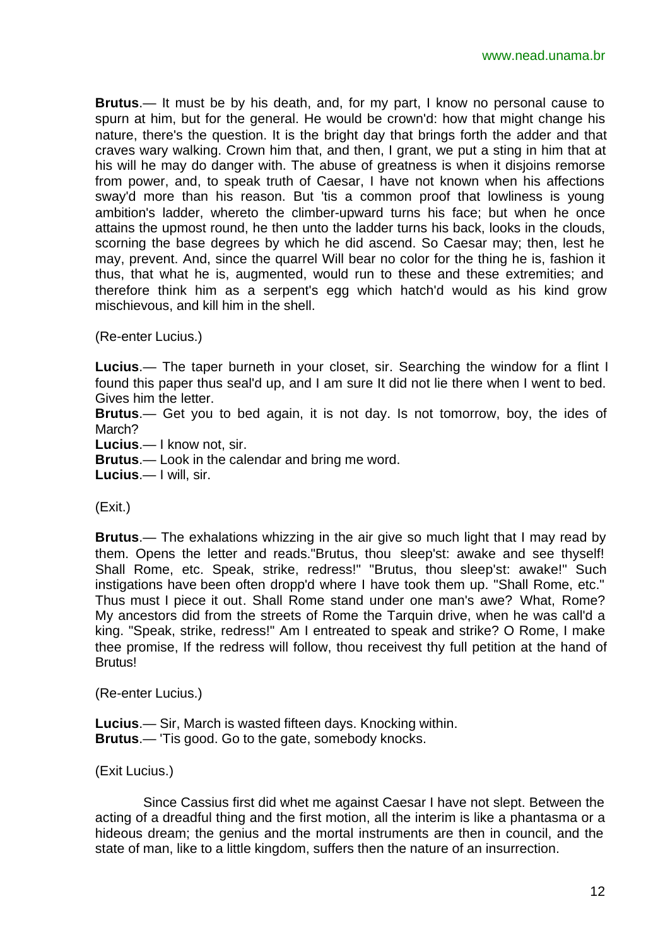**Brutus**.— It must be by his death, and, for my part, I know no personal cause to spurn at him, but for the general. He would be crown'd: how that might change his nature, there's the question. It is the bright day that brings forth the adder and that craves wary walking. Crown him that, and then, I grant, we put a sting in him that at his will he may do danger with. The abuse of greatness is when it disjoins remorse from power, and, to speak truth of Caesar, I have not known when his affections sway'd more than his reason. But 'tis a common proof that lowliness is young ambition's ladder, whereto the climber-upward turns his face; but when he once attains the upmost round, he then unto the ladder turns his back, looks in the clouds, scorning the base degrees by which he did ascend. So Caesar may; then, lest he may, prevent. And, since the quarrel Will bear no color for the thing he is, fashion it thus, that what he is, augmented, would run to these and these extremities; and therefore think him as a serpent's egg which hatch'd would as his kind grow mischievous, and kill him in the shell.

(Re-enter Lucius.)

**Lucius**.— The taper burneth in your closet, sir. Searching the window for a flint I found this paper thus seal'd up, and I am sure It did not lie there when I went to bed. Gives him the letter.

**Brutus**.— Get you to bed again, it is not day. Is not tomorrow, boy, the ides of March?

**Lucius**.— I know not, sir.

**Brutus**.— Look in the calendar and bring me word.

**Lucius**.— I will, sir.

(Exit.)

**Brutus**.— The exhalations whizzing in the air give so much light that I may read by them. Opens the letter and reads."Brutus, thou sleep'st: awake and see thyself! Shall Rome, etc. Speak, strike, redress!" "Brutus, thou sleep'st: awake!" Such instigations have been often dropp'd where I have took them up. "Shall Rome, etc." Thus must I piece it out. Shall Rome stand under one man's awe? What, Rome? My ancestors did from the streets of Rome the Tarquin drive, when he was call'd a king. "Speak, strike, redress!" Am I entreated to speak and strike? O Rome, I make thee promise, If the redress will follow, thou receivest thy full petition at the hand of Brutus!

(Re-enter Lucius.)

**Lucius**.— Sir, March is wasted fifteen days. Knocking within. **Brutus**.— 'Tis good. Go to the gate, somebody knocks.

(Exit Lucius.)

Since Cassius first did whet me against Caesar I have not slept. Between the acting of a dreadful thing and the first motion, all the interim is like a phantasma or a hideous dream; the genius and the mortal instruments are then in council, and the state of man, like to a little kingdom, suffers then the nature of an insurrection.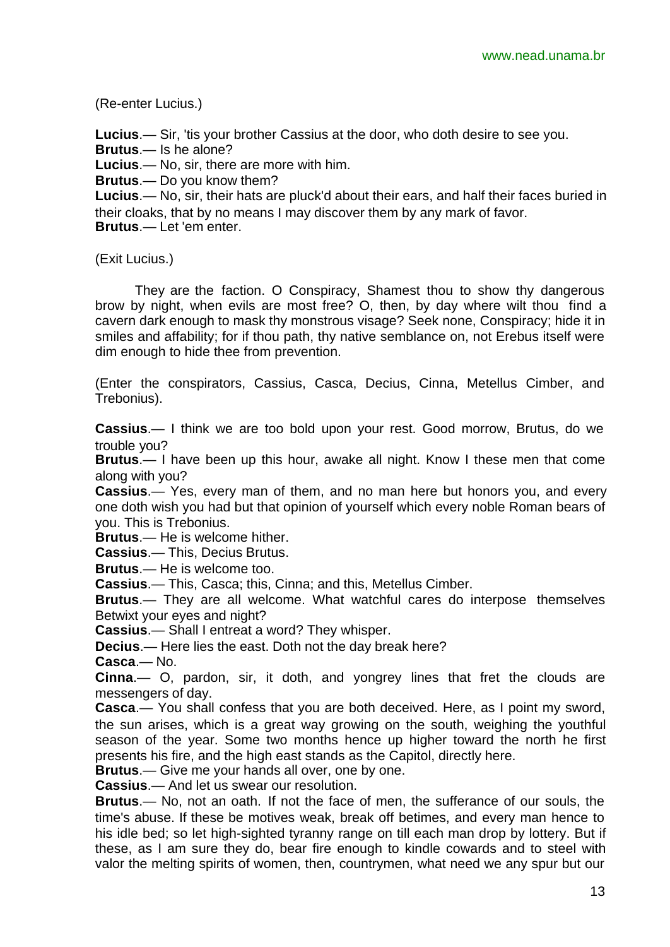(Re-enter Lucius.)

**Lucius**.— Sir, 'tis your brother Cassius at the door, who doth desire to see you.

**Brutus**.— Is he alone?

**Lucius**.— No, sir, there are more with him.

**Brutus**.— Do you know them?

**Lucius**.— No, sir, their hats are pluck'd about their ears, and half their faces buried in their cloaks, that by no means I may discover them by any mark of favor.

**Brutus**.— Let 'em enter.

(Exit Lucius.)

They are the faction. O Conspiracy, Shamest thou to show thy dangerous brow by night, when evils are most free? O, then, by day where wilt thou find a cavern dark enough to mask thy monstrous visage? Seek none, Conspiracy; hide it in smiles and affability; for if thou path, thy native semblance on, not Erebus itself were dim enough to hide thee from prevention.

(Enter the conspirators, Cassius, Casca, Decius, Cinna, Metellus Cimber, and Trebonius).

**Cassius**.— I think we are too bold upon your rest. Good morrow, Brutus, do we trouble you?

**Brutus**.— I have been up this hour, awake all night. Know I these men that come along with you?

**Cassius**.— Yes, every man of them, and no man here but honors you, and every one doth wish you had but that opinion of yourself which every noble Roman bears of you. This is Trebonius.

**Brutus**.— He is welcome hither.

**Cassius**.— This, Decius Brutus.

**Brutus**.— He is welcome too.

**Cassius**.— This, Casca; this, Cinna; and this, Metellus Cimber.

**Brutus**.— They are all welcome. What watchful cares do interpose themselves Betwixt your eyes and night?

**Cassius**.— Shall I entreat a word? They whisper.

**Decius**.— Here lies the east. Doth not the day break here?

**Casca**.— No.

**Cinna**.— O, pardon, sir, it doth, and yongrey lines that fret the clouds are messengers of day.

**Casca**.— You shall confess that you are both deceived. Here, as I point my sword, the sun arises, which is a great way growing on the south, weighing the youthful season of the year. Some two months hence up higher toward the north he first presents his fire, and the high east stands as the Capitol, directly here.

**Brutus**.— Give me your hands all over, one by one.

**Cassius**.— And let us swear our resolution.

**Brutus**.— No, not an oath. If not the face of men, the sufferance of our souls, the time's abuse. If these be motives weak, break off betimes, and every man hence to his idle bed; so let high-sighted tyranny range on till each man drop by lottery. But if these, as I am sure they do, bear fire enough to kindle cowards and to steel with valor the melting spirits of women, then, countrymen, what need we any spur but our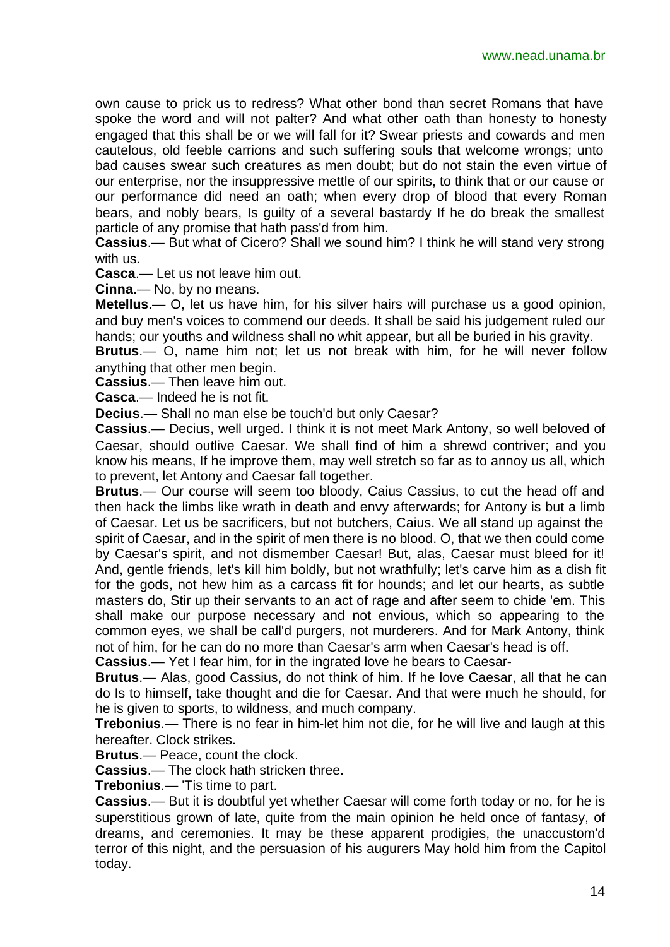own cause to prick us to redress? What other bond than secret Romans that have spoke the word and will not palter? And what other oath than honesty to honesty engaged that this shall be or we will fall for it? Swear priests and cowards and men cautelous, old feeble carrions and such suffering souls that welcome wrongs; unto bad causes swear such creatures as men doubt; but do not stain the even virtue of our enterprise, nor the insuppressive mettle of our spirits, to think that or our cause or our performance did need an oath; when every drop of blood that every Roman bears, and nobly bears, Is guilty of a several bastardy If he do break the smallest particle of any promise that hath pass'd from him.

**Cassius**.— But what of Cicero? Shall we sound him? I think he will stand very strong with us.

**Casca**.— Let us not leave him out.

**Cinna**.— No, by no means.

**Metellus**.— O, let us have him, for his silver hairs will purchase us a good opinion, and buy men's voices to commend our deeds. It shall be said his judgement ruled our hands; our youths and wildness shall no whit appear, but all be buried in his gravity.

**Brutus**.— O, name him not; let us not break with him, for he will never follow anything that other men begin.

**Cassius**.— Then leave him out.

**Casca**.— Indeed he is not fit.

**Decius**.— Shall no man else be touch'd but only Caesar?

**Cassius**.— Decius, well urged. I think it is not meet Mark Antony, so well beloved of Caesar, should outlive Caesar. We shall find of him a shrewd contriver; and you know his means, If he improve them, may well stretch so far as to annoy us all, which to prevent, let Antony and Caesar fall together.

**Brutus**.— Our course will seem too bloody, Caius Cassius, to cut the head off and then hack the limbs like wrath in death and envy afterwards; for Antony is but a limb of Caesar. Let us be sacrificers, but not butchers, Caius. We all stand up against the spirit of Caesar, and in the spirit of men there is no blood. O, that we then could come by Caesar's spirit, and not dismember Caesar! But, alas, Caesar must bleed for it! And, gentle friends, let's kill him boldly, but not wrathfully; let's carve him as a dish fit for the gods, not hew him as a carcass fit for hounds; and let our hearts, as subtle masters do, Stir up their servants to an act of rage and after seem to chide 'em. This shall make our purpose necessary and not envious, which so appearing to the common eyes, we shall be call'd purgers, not murderers. And for Mark Antony, think not of him, for he can do no more than Caesar's arm when Caesar's head is off.

**Cassius**.— Yet I fear him, for in the ingrated love he bears to Caesar-

**Brutus**.— Alas, good Cassius, do not think of him. If he love Caesar, all that he can do Is to himself, take thought and die for Caesar. And that were much he should, for he is given to sports, to wildness, and much company.

**Trebonius**.— There is no fear in him-let him not die, for he will live and laugh at this hereafter. Clock strikes.

**Brutus**.— Peace, count the clock.

**Cassius**.— The clock hath stricken three.

**Trebonius**.— 'Tis time to part.

**Cassius**.— But it is doubtful yet whether Caesar will come forth today or no, for he is superstitious grown of late, quite from the main opinion he held once of fantasy, of dreams, and ceremonies. It may be these apparent prodigies, the unaccustom'd terror of this night, and the persuasion of his augurers May hold him from the Capitol today.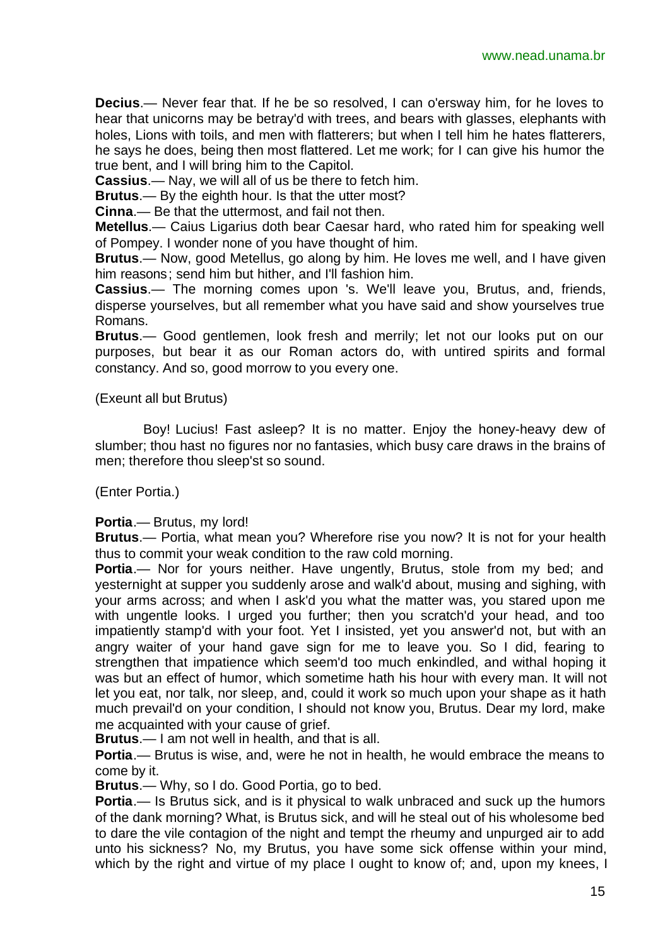**Decius**.— Never fear that. If he be so resolved, I can o'ersway him, for he loves to hear that unicorns may be betray'd with trees, and bears with glasses, elephants with holes, Lions with toils, and men with flatterers; but when I tell him he hates flatterers, he says he does, being then most flattered. Let me work; for I can give his humor the true bent, and I will bring him to the Capitol.

**Cassius**.— Nay, we will all of us be there to fetch him.

**Brutus**.— By the eighth hour. Is that the utter most?

**Cinna**.— Be that the uttermost, and fail not then.

**Metellus**.— Caius Ligarius doth bear Caesar hard, who rated him for speaking well of Pompey. I wonder none of you have thought of him.

**Brutus**.— Now, good Metellus, go along by him. He loves me well, and I have given him reasons; send him but hither, and I'll fashion him.

**Cassius**.— The morning comes upon 's. We'll leave you, Brutus, and, friends, disperse yourselves, but all remember what you have said and show yourselves true Romans.

**Brutus**.— Good gentlemen, look fresh and merrily; let not our looks put on our purposes, but bear it as our Roman actors do, with untired spirits and formal constancy. And so, good morrow to you every one.

#### (Exeunt all but Brutus)

Boy! Lucius! Fast asleep? It is no matter. Enjoy the honey-heavy dew of slumber; thou hast no figures nor no fantasies, which busy care draws in the brains of men; therefore thou sleep'st so sound.

(Enter Portia.)

#### **Portia**.— Brutus, my lord!

**Brutus**.— Portia, what mean you? Wherefore rise you now? It is not for your health thus to commit your weak condition to the raw cold morning.

**Portia.**— Nor for yours neither. Have ungently, Brutus, stole from my bed; and yesternight at supper you suddenly arose and walk'd about, musing and sighing, with your arms across; and when I ask'd you what the matter was, you stared upon me with ungentle looks. I urged you further; then you scratch'd your head, and too impatiently stamp'd with your foot. Yet I insisted, yet you answer'd not, but with an angry waiter of your hand gave sign for me to leave you. So I did, fearing to strengthen that impatience which seem'd too much enkindled, and withal hoping it was but an effect of humor, which sometime hath his hour with every man. It will not let you eat, nor talk, nor sleep, and, could it work so much upon your shape as it hath much prevail'd on your condition, I should not know you, Brutus. Dear my lord, make me acquainted with your cause of grief.

**Brutus**.— I am not well in health, and that is all.

**Portia**.— Brutus is wise, and, were he not in health, he would embrace the means to come by it.

**Brutus**.— Why, so I do. Good Portia, go to bed.

**Portia**.— Is Brutus sick, and is it physical to walk unbraced and suck up the humors of the dank morning? What, is Brutus sick, and will he steal out of his wholesome bed to dare the vile contagion of the night and tempt the rheumy and unpurged air to add unto his sickness? No, my Brutus, you have some sick offense within your mind, which by the right and virtue of my place I ought to know of; and, upon my knees, I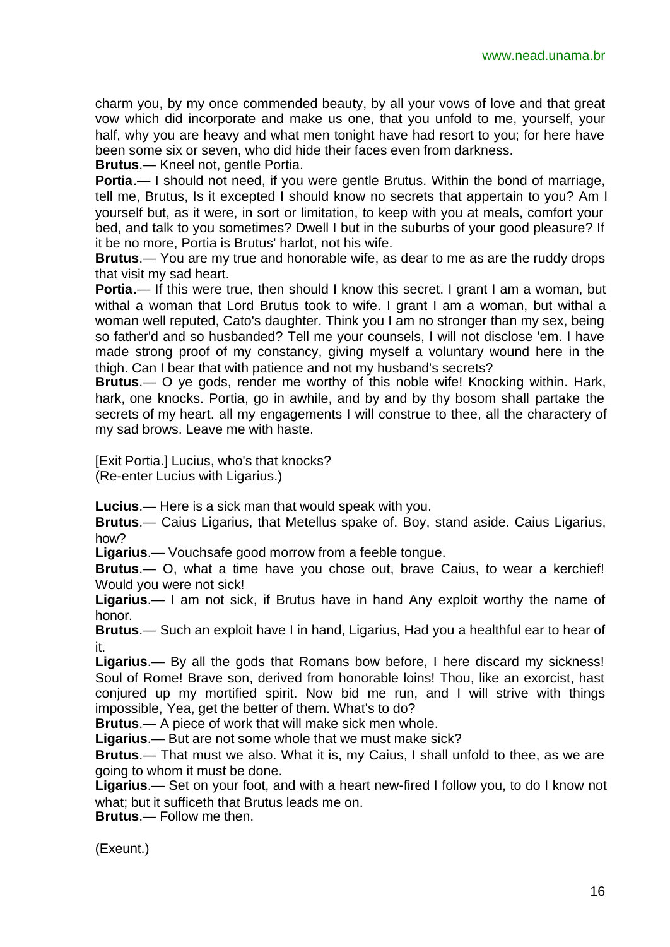charm you, by my once commended beauty, by all your vows of love and that great vow which did incorporate and make us one, that you unfold to me, yourself, your half, why you are heavy and what men tonight have had resort to you; for here have been some six or seven, who did hide their faces even from darkness.

**Brutus**.— Kneel not, gentle Portia.

**Portia**.— I should not need, if you were gentle Brutus. Within the bond of marriage, tell me, Brutus, Is it excepted I should know no secrets that appertain to you? Am I yourself but, as it were, in sort or limitation, to keep with you at meals, comfort your bed, and talk to you sometimes? Dwell I but in the suburbs of your good pleasure? If it be no more, Portia is Brutus' harlot, not his wife.

**Brutus**.— You are my true and honorable wife, as dear to me as are the ruddy drops that visit my sad heart.

**Portia.**— If this were true, then should I know this secret. I grant I am a woman, but withal a woman that Lord Brutus took to wife. I grant I am a woman, but withal a woman well reputed, Cato's daughter. Think you I am no stronger than my sex, being so father'd and so husbanded? Tell me your counsels, I will not disclose 'em. I have made strong proof of my constancy, giving myself a voluntary wound here in the thigh. Can I bear that with patience and not my husband's secrets?

**Brutus**.— O ye gods, render me worthy of this noble wife! Knocking within. Hark, hark, one knocks. Portia, go in awhile, and by and by thy bosom shall partake the secrets of my heart. all my engagements I will construe to thee, all the charactery of my sad brows. Leave me with haste.

[Exit Portia.] Lucius, who's that knocks? (Re-enter Lucius with Ligarius.)

**Lucius**.— Here is a sick man that would speak with you.

**Brutus**.— Caius Ligarius, that Metellus spake of. Boy, stand aside. Caius Ligarius, how?

**Ligarius**.— Vouchsafe good morrow from a feeble tongue.

**Brutus**.— O, what a time have you chose out, brave Caius, to wear a kerchief! Would you were not sick!

**Ligarius**.— I am not sick, if Brutus have in hand Any exploit worthy the name of honor.

**Brutus**.— Such an exploit have I in hand, Ligarius, Had you a healthful ear to hear of it.

**Ligarius**.— By all the gods that Romans bow before, I here discard my sickness! Soul of Rome! Brave son, derived from honorable loins! Thou, like an exorcist, hast conjured up my mortified spirit. Now bid me run, and I will strive with things impossible, Yea, get the better of them. What's to do?

**Brutus**.— A piece of work that will make sick men whole.

**Ligarius**.— But are not some whole that we must make sick?

**Brutus**.— That must we also. What it is, my Caius, I shall unfold to thee, as we are going to whom it must be done.

**Ligarius**.— Set on your foot, and with a heart new-fired I follow you, to do I know not what; but it sufficeth that Brutus leads me on.

**Brutus**.— Follow me then.

(Exeunt.)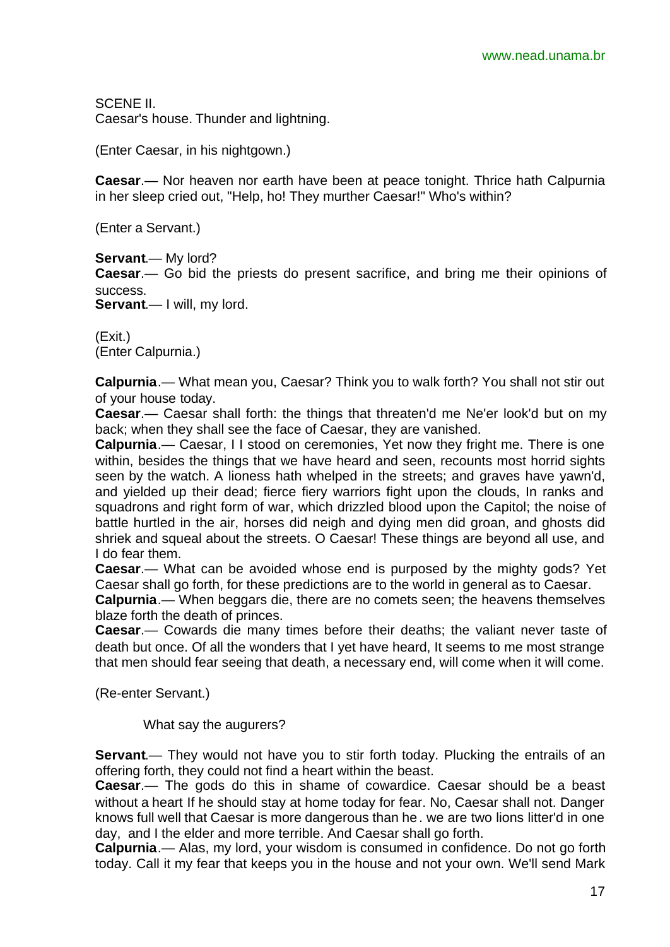SCENE II. Caesar's house. Thunder and lightning.

(Enter Caesar, in his nightgown.)

**Caesar**.— Nor heaven nor earth have been at peace tonight. Thrice hath Calpurnia in her sleep cried out, "Help, ho! They murther Caesar!" Who's within?

(Enter a Servant.)

**Servant**.— My lord?

**Caesar**.— Go bid the priests do present sacrifice, and bring me their opinions of success.

**Servant**.— I will, my lord.

(Exit.) (Enter Calpurnia.)

**Calpurnia**.— What mean you, Caesar? Think you to walk forth? You shall not stir out of your house today.

**Caesar**.— Caesar shall forth: the things that threaten'd me Ne'er look'd but on my back; when they shall see the face of Caesar, they are vanished.

**Calpurnia**.— Caesar, I I stood on ceremonies, Yet now they fright me. There is one within, besides the things that we have heard and seen, recounts most horrid sights seen by the watch. A lioness hath whelped in the streets; and graves have yawn'd, and yielded up their dead; fierce fiery warriors fight upon the clouds, In ranks and squadrons and right form of war, which drizzled blood upon the Capitol; the noise of battle hurtled in the air, horses did neigh and dying men did groan, and ghosts did shriek and squeal about the streets. O Caesar! These things are beyond all use, and I do fear them.

**Caesar**.— What can be avoided whose end is purposed by the mighty gods? Yet Caesar shall go forth, for these predictions are to the world in general as to Caesar.

**Calpurnia**.— When beggars die, there are no comets seen; the heavens themselves blaze forth the death of princes.

**Caesar**.— Cowards die many times before their deaths; the valiant never taste of death but once. Of all the wonders that I yet have heard, It seems to me most strange that men should fear seeing that death, a necessary end, will come when it will come.

(Re-enter Servant.)

What say the augurers?

**Servant.**— They would not have you to stir forth today. Plucking the entrails of an offering forth, they could not find a heart within the beast.

**Caesar**.— The gods do this in shame of cowardice. Caesar should be a beast without a heart If he should stay at home today for fear. No, Caesar shall not. Danger knows full well that Caesar is more dangerous than he. we are two lions litter'd in one day, and I the elder and more terrible. And Caesar shall go forth.

**Calpurnia**.— Alas, my lord, your wisdom is consumed in confidence. Do not go forth today. Call it my fear that keeps you in the house and not your own. We'll send Mark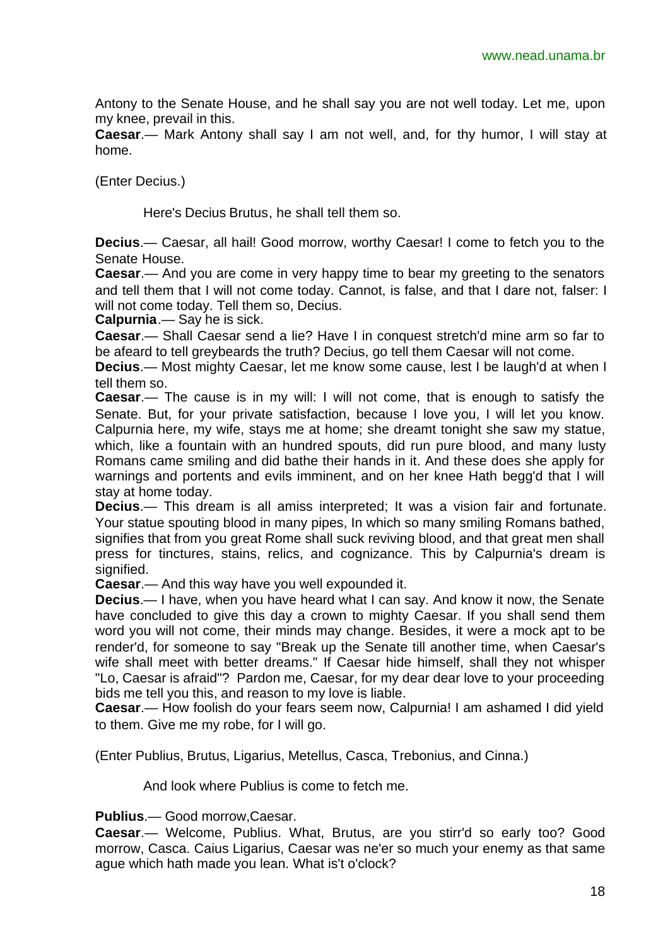Antony to the Senate House, and he shall say you are not well today. Let me, upon my knee, prevail in this.

**Caesar**.— Mark Antony shall say I am not well, and, for thy humor, I will stay at home.

(Enter Decius.)

Here's Decius Brutus, he shall tell them so.

**Decius**.— Caesar, all hail! Good morrow, worthy Caesar! I come to fetch you to the Senate House.

**Caesar**.— And you are come in very happy time to bear my greeting to the senators and tell them that I will not come today. Cannot, is false, and that I dare not, falser: I will not come today. Tell them so. Decius.

**Calpurnia**.— Say he is sick.

**Caesar**.— Shall Caesar send a lie? Have I in conquest stretch'd mine arm so far to be afeard to tell greybeards the truth? Decius, go tell them Caesar will not come.

**Decius**.— Most mighty Caesar, let me know some cause, lest I be laugh'd at when I tell them so.

**Caesar**.— The cause is in my will: I will not come, that is enough to satisfy the Senate. But, for your private satisfaction, because I love you, I will let you know. Calpurnia here, my wife, stays me at home; she dreamt tonight she saw my statue, which, like a fountain with an hundred spouts, did run pure blood, and many lusty Romans came smiling and did bathe their hands in it. And these does she apply for warnings and portents and evils imminent, and on her knee Hath begg'd that I will stay at home today.

**Decius**.— This dream is all amiss interpreted; It was a vision fair and fortunate. Your statue spouting blood in many pipes, In which so many smiling Romans bathed, signifies that from you great Rome shall suck reviving blood, and that great men shall press for tinctures, stains, relics, and cognizance. This by Calpurnia's dream is signified.

**Caesar**.— And this way have you well expounded it.

**Decius**.— I have, when you have heard what I can say. And know it now, the Senate have concluded to give this day a crown to mighty Caesar. If you shall send them word you will not come, their minds may change. Besides, it were a mock apt to be render'd, for someone to say "Break up the Senate till another time, when Caesar's wife shall meet with better dreams." If Caesar hide himself, shall they not whisper "Lo, Caesar is afraid"? Pardon me, Caesar, for my dear dear love to your proceeding bids me tell you this, and reason to my love is liable.

**Caesar**.— How foolish do your fears seem now, Calpurnia! I am ashamed I did yield to them. Give me my robe, for I will go.

(Enter Publius, Brutus, Ligarius, Metellus, Casca, Trebonius, and Cinna.)

And look where Publius is come to fetch me.

**Publius**.— Good morrow,Caesar.

**Caesar**.— Welcome, Publius. What, Brutus, are you stirr'd so early too? Good morrow, Casca. Caius Ligarius, Caesar was ne'er so much your enemy as that same ague which hath made you lean. What is't o'clock?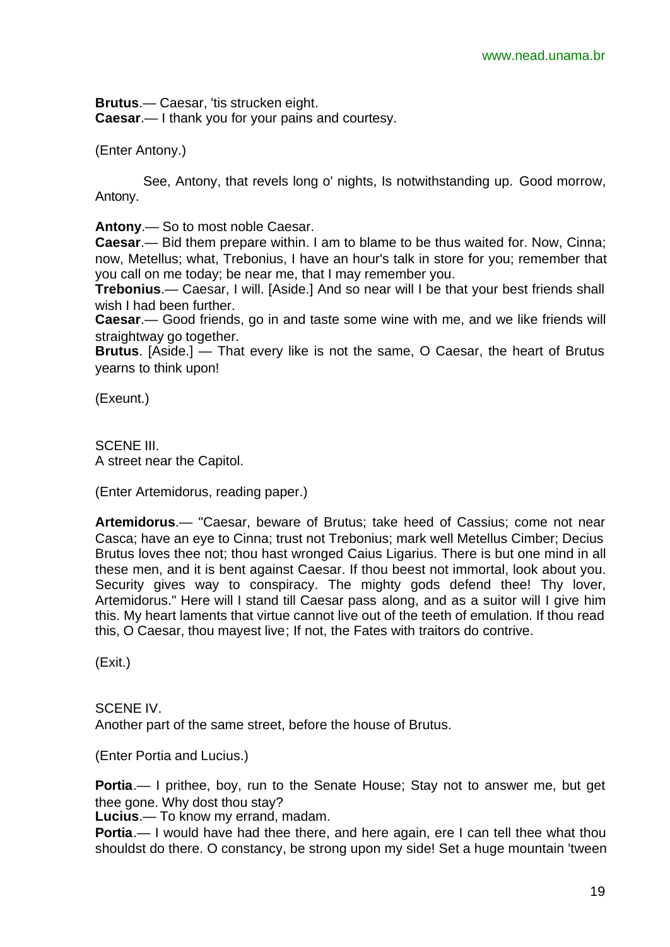**Brutus**.— Caesar, 'tis strucken eight. **Caesar**.— I thank you for your pains and courtesy.

(Enter Antony.)

See, Antony, that revels long o' nights, Is notwithstanding up. Good morrow, Antony.

**Antony**.— So to most noble Caesar.

**Caesar**.— Bid them prepare within. I am to blame to be thus waited for. Now, Cinna; now, Metellus; what, Trebonius, I have an hour's talk in store for you; remember that you call on me today; be near me, that I may remember you.

**Trebonius**.— Caesar, I will. [Aside.] And so near will I be that your best friends shall wish I had been further.

**Caesar**.— Good friends, go in and taste some wine with me, and we like friends will straightway go together.

**Brutus**. [Aside.] — That every like is not the same, O Caesar, the heart of Brutus yearns to think upon!

(Exeunt.)

SCENE III. A street near the Capitol.

(Enter Artemidorus, reading paper.)

**Artemidorus**.— "Caesar, beware of Brutus; take heed of Cassius; come not near Casca; have an eye to Cinna; trust not Trebonius; mark well Metellus Cimber; Decius Brutus loves thee not; thou hast wronged Caius Ligarius. There is but one mind in all these men, and it is bent against Caesar. If thou beest not immortal, look about you. Security gives way to conspiracy. The mighty gods defend thee! Thy lover, Artemidorus." Here will I stand till Caesar pass along, and as a suitor will I give him this. My heart laments that virtue cannot live out of the teeth of emulation. If thou read this, O Caesar, thou mayest live; If not, the Fates with traitors do contrive.

(Exit.)

SCENE IV. Another part of the same street, before the house of Brutus.

(Enter Portia and Lucius.)

**Portia**.— I prithee, boy, run to the Senate House; Stay not to answer me, but get thee gone. Why dost thou stay?

**Lucius**.— To know my errand, madam.

**Portia.**— I would have had thee there, and here again, ere I can tell thee what thou shouldst do there. O constancy, be strong upon my side! Set a huge mountain 'tween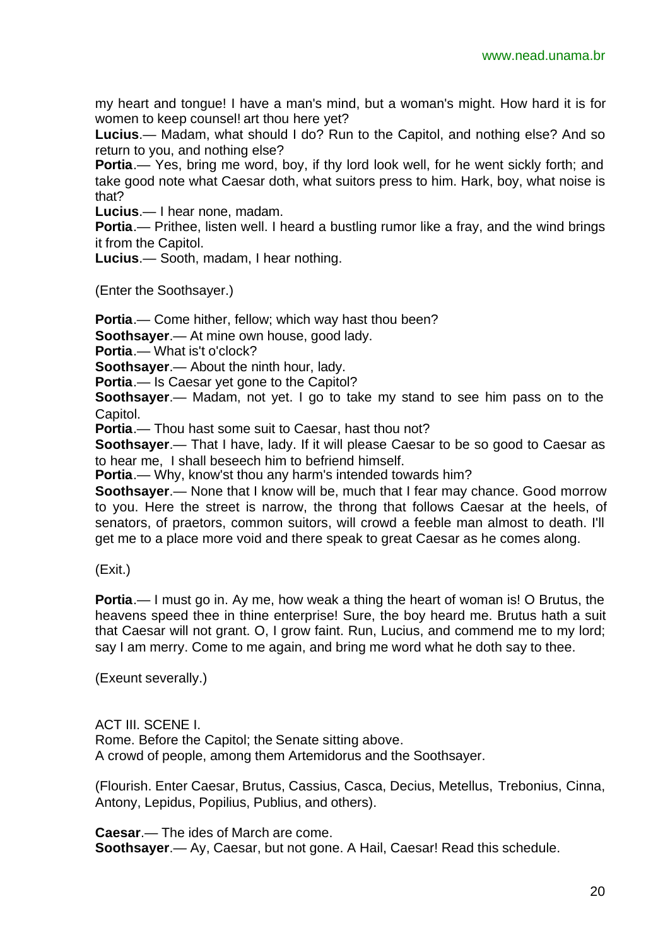my heart and tongue! I have a man's mind, but a woman's might. How hard it is for women to keep counsel! art thou here yet?

**Lucius**.— Madam, what should I do? Run to the Capitol, and nothing else? And so return to you, and nothing else?

**Portia**.— Yes, bring me word, boy, if thy lord look well, for he went sickly forth; and take good note what Caesar doth, what suitors press to him. Hark, boy, what noise is that?

**Lucius**.— I hear none, madam.

**Portia.**— Prithee, listen well. I heard a bustling rumor like a fray, and the wind brings it from the Capitol.

**Lucius**.— Sooth, madam, I hear nothing.

(Enter the Soothsayer.)

**Portia**.— Come hither, fellow; which way hast thou been?

**Soothsayer**.— At mine own house, good lady.

**Portia**.— What is't o'clock?

**Soothsayer**.— About the ninth hour, lady.

**Portia**.— Is Caesar yet gone to the Capitol?

**Soothsayer**.— Madam, not yet. I go to take my stand to see him pass on to the Capitol.

**Portia**.— Thou hast some suit to Caesar, hast thou not?

**Soothsayer**.— That I have, lady. If it will please Caesar to be so good to Caesar as to hear me, I shall beseech him to befriend himself.

**Portia**.— Why, know'st thou any harm's intended towards him?

**Soothsayer**.— None that I know will be, much that I fear may chance. Good morrow to you. Here the street is narrow, the throng that follows Caesar at the heels, of senators, of praetors, common suitors, will crowd a feeble man almost to death. I'll get me to a place more void and there speak to great Caesar as he comes along.

(Exit.)

**Portia**.— I must go in. Ay me, how weak a thing the heart of woman is! O Brutus, the heavens speed thee in thine enterprise! Sure, the boy heard me. Brutus hath a suit that Caesar will not grant. O, I grow faint. Run, Lucius, and commend me to my lord; say I am merry. Come to me again, and bring me word what he doth say to thee.

(Exeunt severally.)

ACT III. SCENE I. Rome. Before the Capitol; the Senate sitting above. A crowd of people, among them Artemidorus and the Soothsayer.

(Flourish. Enter Caesar, Brutus, Cassius, Casca, Decius, Metellus, Trebonius, Cinna, Antony, Lepidus, Popilius, Publius, and others).

**Caesar**.— The ides of March are come. **Soothsayer**.— Ay, Caesar, but not gone. A Hail, Caesar! Read this schedule.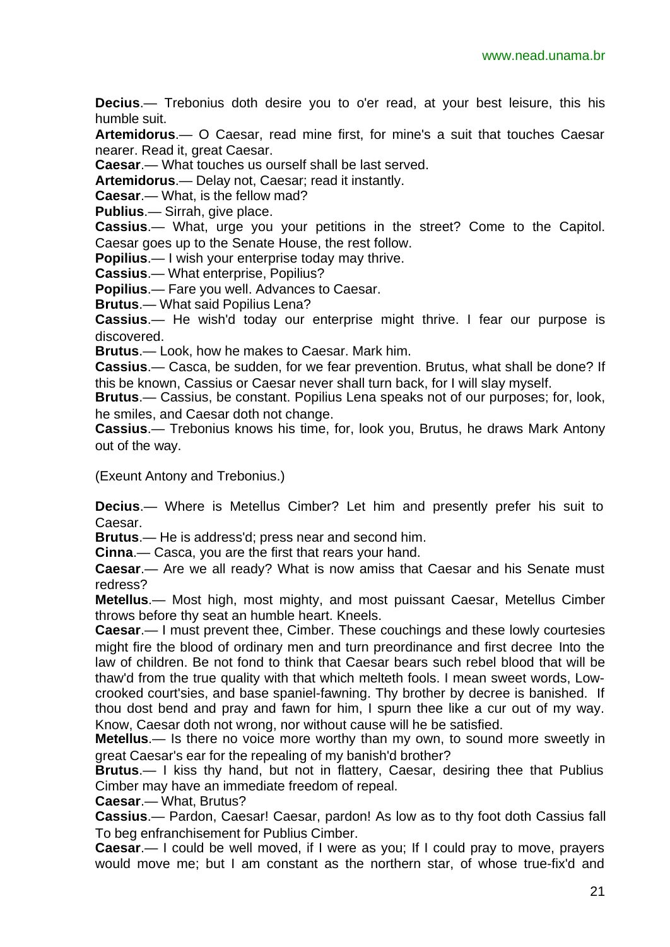**Decius**.— Trebonius doth desire you to o'er read, at your best leisure, this his humble suit.

**Artemidorus**.— O Caesar, read mine first, for mine's a suit that touches Caesar nearer. Read it, great Caesar.

**Caesar**.— What touches us ourself shall be last served.

**Artemidorus**.— Delay not, Caesar; read it instantly.

**Caesar**.— What, is the fellow mad?

**Publius**.— Sirrah, give place.

**Cassius**.— What, urge you your petitions in the street? Come to the Capitol. Caesar goes up to the Senate House, the rest follow.

**Popilius**.— I wish your enterprise today may thrive.

**Cassius**.— What enterprise, Popilius?

**Popilius**.— Fare you well. Advances to Caesar.

**Brutus**.— What said Popilius Lena?

**Cassius**.— He wish'd today our enterprise might thrive. I fear our purpose is discovered.

**Brutus**.— Look, how he makes to Caesar. Mark him.

**Cassius**.— Casca, be sudden, for we fear prevention. Brutus, what shall be done? If this be known, Cassius or Caesar never shall turn back, for I will slay myself.

**Brutus**.— Cassius, be constant. Popilius Lena speaks not of our purposes; for, look, he smiles, and Caesar doth not change.

**Cassius**.— Trebonius knows his time, for, look you, Brutus, he draws Mark Antony out of the way.

(Exeunt Antony and Trebonius.)

**Decius**.— Where is Metellus Cimber? Let him and presently prefer his suit to Caesar.

**Brutus**.— He is address'd; press near and second him.

**Cinna**.— Casca, you are the first that rears your hand.

**Caesar**.— Are we all ready? What is now amiss that Caesar and his Senate must redress?

**Metellus**.— Most high, most mighty, and most puissant Caesar, Metellus Cimber throws before thy seat an humble heart. Kneels.

**Caesar**.— I must prevent thee, Cimber. These couchings and these lowly courtesies might fire the blood of ordinary men and turn preordinance and first decree Into the law of children. Be not fond to think that Caesar bears such rebel blood that will be thaw'd from the true quality with that which melteth fools. I mean sweet words, Lowcrooked court'sies, and base spaniel-fawning. Thy brother by decree is banished. If thou dost bend and pray and fawn for him, I spurn thee like a cur out of my way. Know, Caesar doth not wrong, nor without cause will he be satisfied.

**Metellus**.— Is there no voice more worthy than my own, to sound more sweetly in great Caesar's ear for the repealing of my banish'd brother?

**Brutus**.— I kiss thy hand, but not in flattery, Caesar, desiring thee that Publius Cimber may have an immediate freedom of repeal.

**Caesar**.— What, Brutus?

**Cassius**.— Pardon, Caesar! Caesar, pardon! As low as to thy foot doth Cassius fall To beg enfranchisement for Publius Cimber.

**Caesar**.— I could be well moved, if I were as you; If I could pray to move, prayers would move me; but I am constant as the northern star, of whose true-fix'd and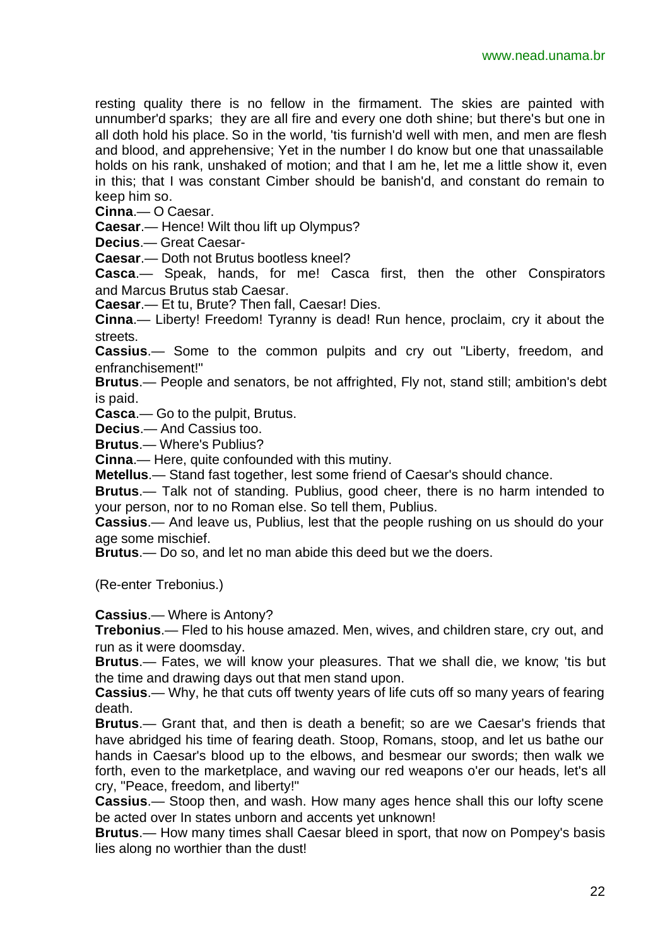resting quality there is no fellow in the firmament. The skies are painted with unnumber'd sparks; they are all fire and every one doth shine; but there's but one in all doth hold his place. So in the world, 'tis furnish'd well with men, and men are flesh and blood, and apprehensive; Yet in the number I do know but one that unassailable holds on his rank, unshaked of motion; and that I am he, let me a little show it, even in this; that I was constant Cimber should be banish'd, and constant do remain to keep him so.

**Cinna**.— O Caesar.

**Caesar**.— Hence! Wilt thou lift up Olympus?

**Decius**.— Great Caesar-

**Caesar**.— Doth not Brutus bootless kneel?

**Casca**.— Speak, hands, for me! Casca first, then the other Conspirators and Marcus Brutus stab Caesar.

**Caesar**.— Et tu, Brute? Then fall, Caesar! Dies.

**Cinna**.— Liberty! Freedom! Tyranny is dead! Run hence, proclaim, cry it about the streets.

**Cassius**.— Some to the common pulpits and cry out "Liberty, freedom, and enfranchisement!"

**Brutus**.— People and senators, be not affrighted, Fly not, stand still; ambition's debt is paid.

**Casca**.— Go to the pulpit, Brutus.

**Decius**.— And Cassius too.

**Brutus**.— Where's Publius?

**Cinna**.— Here, quite confounded with this mutiny.

**Metellus**.— Stand fast together, lest some friend of Caesar's should chance.

**Brutus**.— Talk not of standing. Publius, good cheer, there is no harm intended to your person, nor to no Roman else. So tell them, Publius.

**Cassius**.— And leave us, Publius, lest that the people rushing on us should do your age some mischief.

**Brutus**.— Do so, and let no man abide this deed but we the doers.

(Re-enter Trebonius.)

**Cassius**.— Where is Antony?

**Trebonius**.— Fled to his house amazed. Men, wives, and children stare, cry out, and run as it were doomsday.

**Brutus**.— Fates, we will know your pleasures. That we shall die, we know; 'tis but the time and drawing days out that men stand upon.

**Cassius**.— Why, he that cuts off twenty years of life cuts off so many years of fearing death.

**Brutus**.— Grant that, and then is death a benefit; so are we Caesar's friends that have abridged his time of fearing death. Stoop, Romans, stoop, and let us bathe our hands in Caesar's blood up to the elbows, and besmear our swords; then walk we forth, even to the marketplace, and waving our red weapons o'er our heads, let's all cry, "Peace, freedom, and liberty!"

**Cassius**.— Stoop then, and wash. How many ages hence shall this our lofty scene be acted over In states unborn and accents yet unknown!

**Brutus**.— How many times shall Caesar bleed in sport, that now on Pompey's basis lies along no worthier than the dust!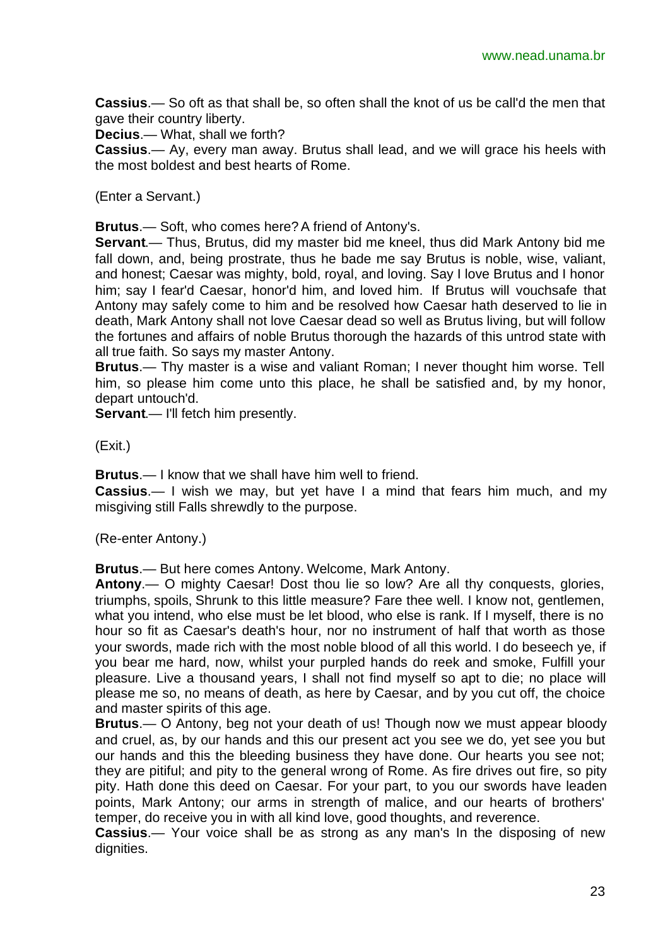**Cassius**.— So oft as that shall be, so often shall the knot of us be call'd the men that gave their country liberty.

**Decius**.— What, shall we forth?

**Cassius**.— Ay, every man away. Brutus shall lead, and we will grace his heels with the most boldest and best hearts of Rome.

(Enter a Servant.)

**Brutus**.— Soft, who comes here? A friend of Antony's.

**Servant**.— Thus, Brutus, did my master bid me kneel, thus did Mark Antony bid me fall down, and, being prostrate, thus he bade me say Brutus is noble, wise, valiant, and honest; Caesar was mighty, bold, royal, and loving. Say I love Brutus and I honor him; say I fear'd Caesar, honor'd him, and loved him. If Brutus will vouchsafe that Antony may safely come to him and be resolved how Caesar hath deserved to lie in death, Mark Antony shall not love Caesar dead so well as Brutus living, but will follow the fortunes and affairs of noble Brutus thorough the hazards of this untrod state with all true faith. So says my master Antony.

**Brutus**.— Thy master is a wise and valiant Roman; I never thought him worse. Tell him, so please him come unto this place, he shall be satisfied and, by my honor, depart untouch'd.

**Servant**.— I'll fetch him presently.

(Exit.)

**Brutus**.— I know that we shall have him well to friend.

**Cassius**.— I wish we may, but yet have I a mind that fears him much, and my misgiving still Falls shrewdly to the purpose.

(Re-enter Antony.)

**Brutus**.— But here comes Antony. Welcome, Mark Antony.

**Antony**.— O mighty Caesar! Dost thou lie so low? Are all thy conquests, glories, triumphs, spoils, Shrunk to this little measure? Fare thee well. I know not, gentlemen, what you intend, who else must be let blood, who else is rank. If I myself, there is no hour so fit as Caesar's death's hour, nor no instrument of half that worth as those your swords, made rich with the most noble blood of all this world. I do beseech ye, if you bear me hard, now, whilst your purpled hands do reek and smoke, Fulfill your pleasure. Live a thousand years, I shall not find myself so apt to die; no place will please me so, no means of death, as here by Caesar, and by you cut off, the choice and master spirits of this age.

**Brutus**.— O Antony, beg not your death of us! Though now we must appear bloody and cruel, as, by our hands and this our present act you see we do, yet see you but our hands and this the bleeding business they have done. Our hearts you see not; they are pitiful; and pity to the general wrong of Rome. As fire drives out fire, so pity pity. Hath done this deed on Caesar. For your part, to you our swords have leaden points, Mark Antony; our arms in strength of malice, and our hearts of brothers' temper, do receive you in with all kind love, good thoughts, and reverence.

**Cassius**.— Your voice shall be as strong as any man's In the disposing of new dignities.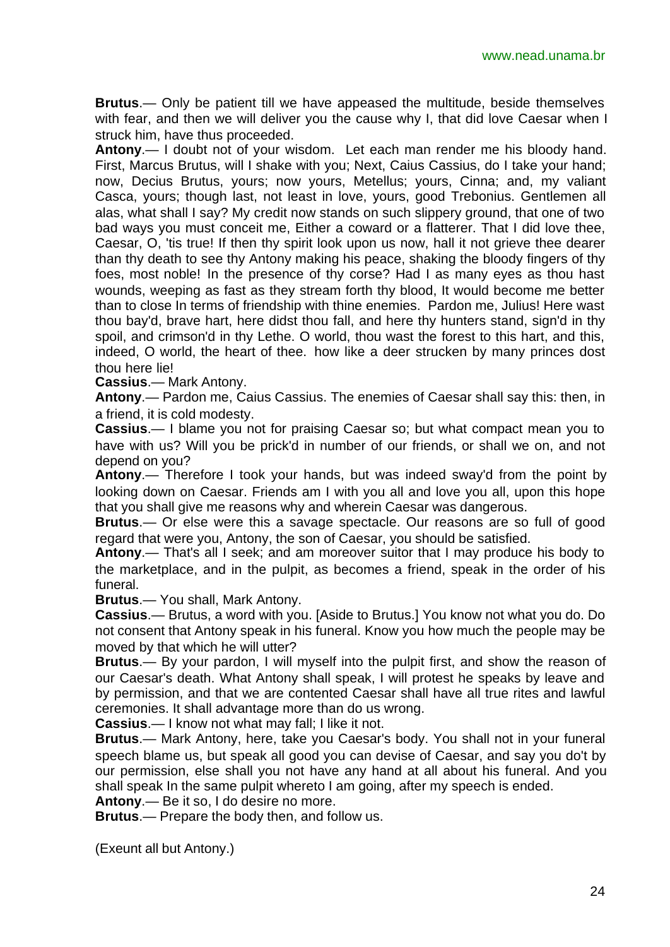**Brutus**.— Only be patient till we have appeased the multitude, beside themselves with fear, and then we will deliver you the cause why I, that did love Caesar when I struck him, have thus proceeded.

**Antony**.— I doubt not of your wisdom. Let each man render me his bloody hand. First, Marcus Brutus, will I shake with you; Next, Caius Cassius, do I take your hand; now, Decius Brutus, yours; now yours, Metellus; yours, Cinna; and, my valiant Casca, yours; though last, not least in love, yours, good Trebonius. Gentlemen all alas, what shall I say? My credit now stands on such slippery ground, that one of two bad ways you must conceit me, Either a coward or a flatterer. That I did love thee, Caesar, O, 'tis true! If then thy spirit look upon us now, hall it not grieve thee dearer than thy death to see thy Antony making his peace, shaking the bloody fingers of thy foes, most noble! In the presence of thy corse? Had I as many eyes as thou hast wounds, weeping as fast as they stream forth thy blood, It would become me better than to close In terms of friendship with thine enemies. Pardon me, Julius! Here wast thou bay'd, brave hart, here didst thou fall, and here thy hunters stand, sign'd in thy spoil, and crimson'd in thy Lethe. O world, thou wast the forest to this hart, and this, indeed, O world, the heart of thee. how like a deer strucken by many princes dost thou here lie!

**Cassius**.— Mark Antony.

**Antony**.— Pardon me, Caius Cassius. The enemies of Caesar shall say this: then, in a friend, it is cold modesty.

**Cassius**.— I blame you not for praising Caesar so; but what compact mean you to have with us? Will you be prick'd in number of our friends, or shall we on, and not depend on you?

**Antony**.— Therefore I took your hands, but was indeed sway'd from the point by looking down on Caesar. Friends am I with you all and love you all, upon this hope that you shall give me reasons why and wherein Caesar was dangerous.

**Brutus**.— Or else were this a savage spectacle. Our reasons are so full of good regard that were you, Antony, the son of Caesar, you should be satisfied.

**Antony**.— That's all I seek; and am moreover suitor that I may produce his body to the marketplace, and in the pulpit, as becomes a friend, speak in the order of his funeral.

**Brutus**.— You shall, Mark Antony.

**Cassius**.— Brutus, a word with you. [Aside to Brutus.] You know not what you do. Do not consent that Antony speak in his funeral. Know you how much the people may be moved by that which he will utter?

**Brutus**.— By your pardon, I will myself into the pulpit first, and show the reason of our Caesar's death. What Antony shall speak, I will protest he speaks by leave and by permission, and that we are contented Caesar shall have all true rites and lawful ceremonies. It shall advantage more than do us wrong.

**Cassius**.— I know not what may fall; I like it not.

**Brutus**.— Mark Antony, here, take you Caesar's body. You shall not in your funeral speech blame us, but speak all good you can devise of Caesar, and say you do't by our permission, else shall you not have any hand at all about his funeral. And you shall speak In the same pulpit whereto I am going, after my speech is ended.

**Antony**.— Be it so, I do desire no more.

**Brutus**.— Prepare the body then, and follow us.

(Exeunt all but Antony.)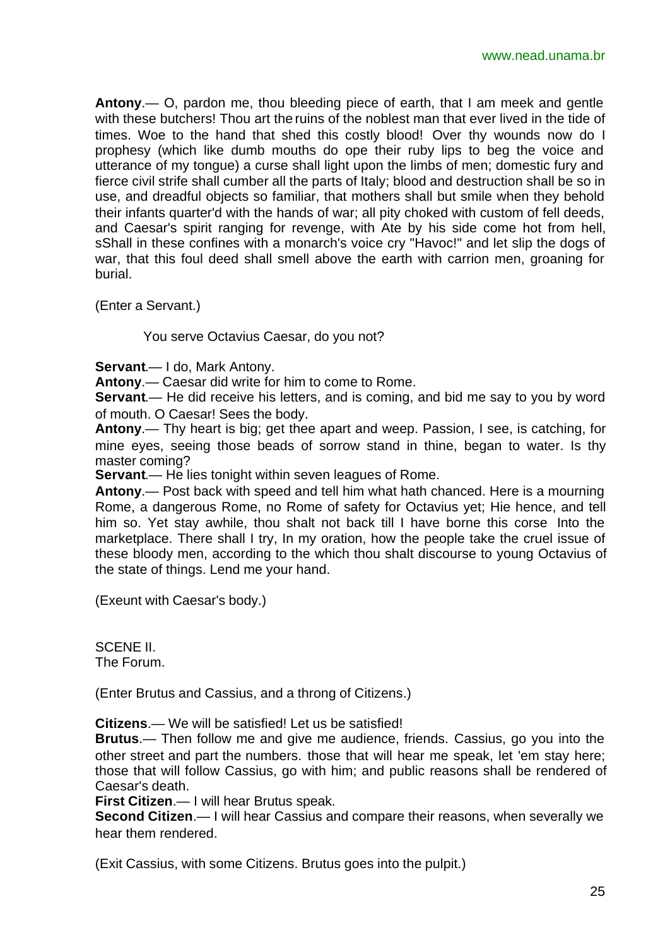**Antony**.— O, pardon me, thou bleeding piece of earth, that I am meek and gentle with these butchers! Thou art the ruins of the noblest man that ever lived in the tide of times. Woe to the hand that shed this costly blood! Over thy wounds now do I prophesy (which like dumb mouths do ope their ruby lips to beg the voice and utterance of my tongue) a curse shall light upon the limbs of men; domestic fury and fierce civil strife shall cumber all the parts of Italy; blood and destruction shall be so in use, and dreadful objects so familiar, that mothers shall but smile when they behold their infants quarter'd with the hands of war; all pity choked with custom of fell deeds, and Caesar's spirit ranging for revenge, with Ate by his side come hot from hell, sShall in these confines with a monarch's voice cry "Havoc!" and let slip the dogs of war, that this foul deed shall smell above the earth with carrion men, groaning for burial.

(Enter a Servant.)

You serve Octavius Caesar, do you not?

**Servant**.— I do, Mark Antony.

**Antony**.— Caesar did write for him to come to Rome.

**Servant**.— He did receive his letters, and is coming, and bid me say to you by word of mouth. O Caesar! Sees the body.

**Antony**.— Thy heart is big; get thee apart and weep. Passion, I see, is catching, for mine eyes, seeing those beads of sorrow stand in thine, began to water. Is thy master coming?

**Servant.**— He lies tonight within seven leagues of Rome.

**Antony**.— Post back with speed and tell him what hath chanced. Here is a mourning Rome, a dangerous Rome, no Rome of safety for Octavius yet; Hie hence, and tell him so. Yet stay awhile, thou shalt not back till I have borne this corse Into the marketplace. There shall I try, In my oration, how the people take the cruel issue of these bloody men, according to the which thou shalt discourse to young Octavius of the state of things. Lend me your hand.

(Exeunt with Caesar's body.)

SCENE II. The Forum.

(Enter Brutus and Cassius, and a throng of Citizens.)

**Citizens**.— We will be satisfied! Let us be satisfied!

**Brutus**.— Then follow me and give me audience, friends. Cassius, go you into the other street and part the numbers. those that will hear me speak, let 'em stay here; those that will follow Cassius, go with him; and public reasons shall be rendered of Caesar's death.

**First Citizen**.— I will hear Brutus speak.

**Second Citizen**.— I will hear Cassius and compare their reasons, when severally we hear them rendered.

(Exit Cassius, with some Citizens. Brutus goes into the pulpit.)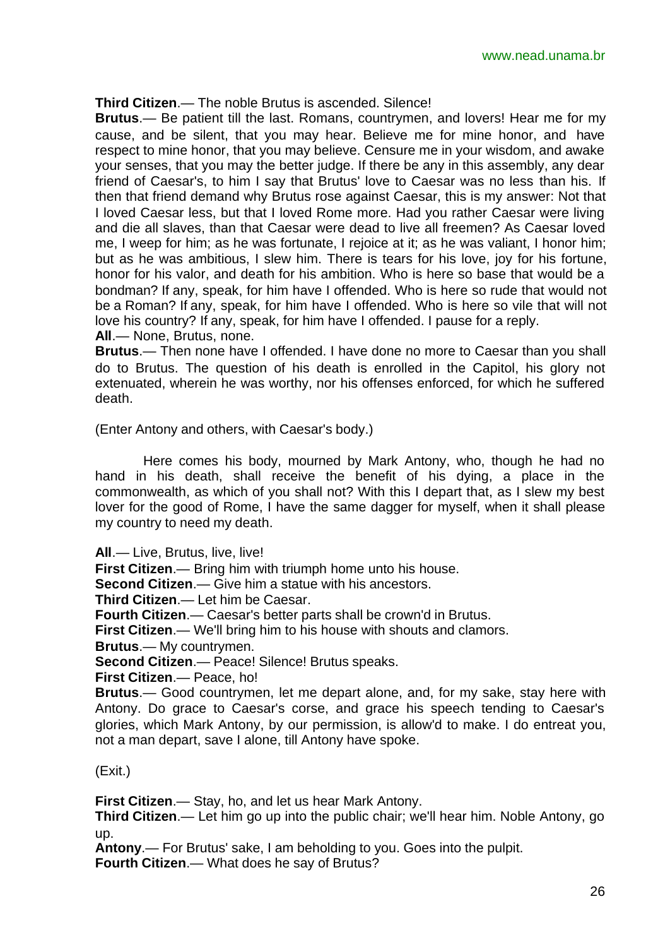#### **Third Citizen**.— The noble Brutus is ascended. Silence!

**Brutus**.— Be patient till the last. Romans, countrymen, and lovers! Hear me for my cause, and be silent, that you may hear. Believe me for mine honor, and have respect to mine honor, that you may believe. Censure me in your wisdom, and awake your senses, that you may the better judge. If there be any in this assembly, any dear friend of Caesar's, to him I say that Brutus' love to Caesar was no less than his. If then that friend demand why Brutus rose against Caesar, this is my answer: Not that I loved Caesar less, but that I loved Rome more. Had you rather Caesar were living and die all slaves, than that Caesar were dead to live all freemen? As Caesar loved me, I weep for him; as he was fortunate, I rejoice at it; as he was valiant, I honor him; but as he was ambitious, I slew him. There is tears for his love, joy for his fortune, honor for his valor, and death for his ambition. Who is here so base that would be a bondman? If any, speak, for him have I offended. Who is here so rude that would not be a Roman? If any, speak, for him have I offended. Who is here so vile that will not love his country? If any, speak, for him have I offended. I pause for a reply. **All**.— None, Brutus, none.

**Brutus**.— Then none have I offended. I have done no more to Caesar than you shall do to Brutus. The question of his death is enrolled in the Capitol, his glory not extenuated, wherein he was worthy, nor his offenses enforced, for which he suffered death.

(Enter Antony and others, with Caesar's body.)

Here comes his body, mourned by Mark Antony, who, though he had no hand in his death, shall receive the benefit of his dying, a place in the commonwealth, as which of you shall not? With this I depart that, as I slew my best lover for the good of Rome, I have the same dagger for myself, when it shall please my country to need my death.

**All**.— Live, Brutus, live, live!

**First Citizen**.— Bring him with triumph home unto his house.

**Second Citizen**.— Give him a statue with his ancestors.

**Third Citizen**.— Let him be Caesar.

**Fourth Citizen**.— Caesar's better parts shall be crown'd in Brutus.

**First Citizen**.— We'll bring him to his house with shouts and clamors.

**Brutus**.— My countrymen.

**Second Citizen**.— Peace! Silence! Brutus speaks.

**First Citizen**.— Peace, ho!

**Brutus**.— Good countrymen, let me depart alone, and, for my sake, stay here with Antony. Do grace to Caesar's corse, and grace his speech tending to Caesar's glories, which Mark Antony, by our permission, is allow'd to make. I do entreat you, not a man depart, save I alone, till Antony have spoke.

#### (Exit.)

**First Citizen**.— Stay, ho, and let us hear Mark Antony.

**Third Citizen**.— Let him go up into the public chair; we'll hear him. Noble Antony, go up.

**Antony**.— For Brutus' sake, I am beholding to you. Goes into the pulpit.

**Fourth Citizen**.— What does he say of Brutus?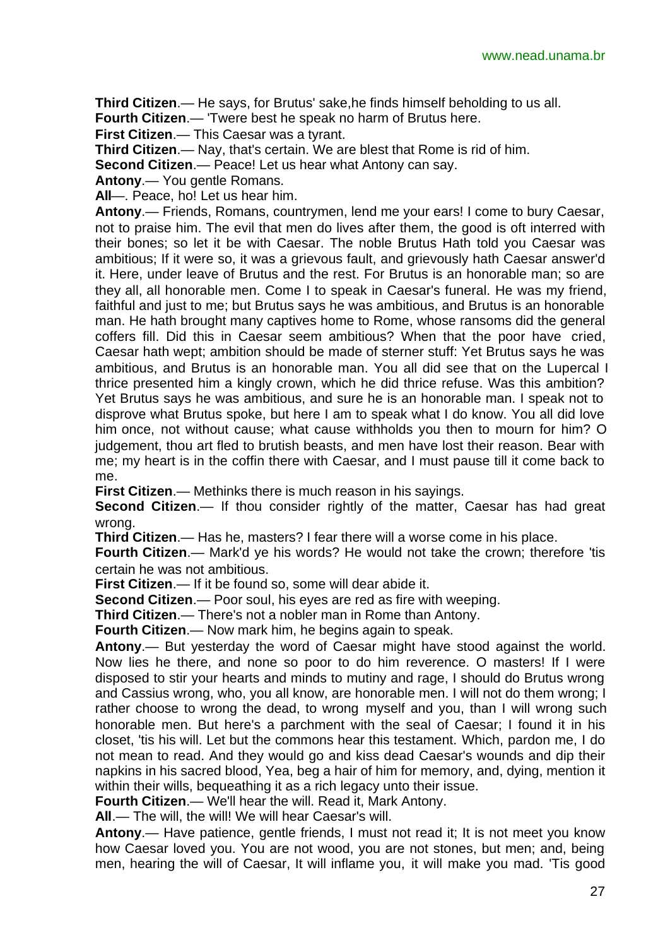**Third Citizen**.— He says, for Brutus' sake,he finds himself beholding to us all.

**Fourth Citizen**.— 'Twere best he speak no harm of Brutus here.

**First Citizen**.— This Caesar was a tyrant.

**Third Citizen**.— Nay, that's certain. We are blest that Rome is rid of him.

**Second Citizen.**— Peace! Let us hear what Antony can say.

**Antony**.— You gentle Romans.

**All**—. Peace, ho! Let us hear him.

**Antony**.— Friends, Romans, countrymen, lend me your ears! I come to bury Caesar, not to praise him. The evil that men do lives after them, the good is oft interred with their bones; so let it be with Caesar. The noble Brutus Hath told you Caesar was ambitious; If it were so, it was a grievous fault, and grievously hath Caesar answer'd it. Here, under leave of Brutus and the rest. For Brutus is an honorable man; so are they all, all honorable men. Come I to speak in Caesar's funeral. He was my friend, faithful and just to me; but Brutus says he was ambitious, and Brutus is an honorable man. He hath brought many captives home to Rome, whose ransoms did the general coffers fill. Did this in Caesar seem ambitious? When that the poor have cried, Caesar hath wept; ambition should be made of sterner stuff: Yet Brutus says he was ambitious, and Brutus is an honorable man. You all did see that on the Lupercal I thrice presented him a kingly crown, which he did thrice refuse. Was this ambition? Yet Brutus says he was ambitious, and sure he is an honorable man. I speak not to disprove what Brutus spoke, but here I am to speak what I do know. You all did love him once, not without cause; what cause withholds you then to mourn for him? O judgement, thou art fled to brutish beasts, and men have lost their reason. Bear with me; my heart is in the coffin there with Caesar, and I must pause till it come back to me.

**First Citizen**.— Methinks there is much reason in his sayings.

**Second Citizen.—** If thou consider rightly of the matter, Caesar has had great wrong.

**Third Citizen**.— Has he, masters? I fear there will a worse come in his place.

**Fourth Citizen**.— Mark'd ye his words? He would not take the crown; therefore 'tis certain he was not ambitious.

**First Citizen**.— If it be found so, some will dear abide it.

**Second Citizen**.— Poor soul, his eyes are red as fire with weeping.

**Third Citizen**.— There's not a nobler man in Rome than Antony.

**Fourth Citizen**.— Now mark him, he begins again to speak.

**Antony**.— But yesterday the word of Caesar might have stood against the world. Now lies he there, and none so poor to do him reverence. O masters! If I were disposed to stir your hearts and minds to mutiny and rage, I should do Brutus wrong and Cassius wrong, who, you all know, are honorable men. I will not do them wrong; I rather choose to wrong the dead, to wrong myself and you, than I will wrong such honorable men. But here's a parchment with the seal of Caesar; I found it in his closet, 'tis his will. Let but the commons hear this testament. Which, pardon me, I do not mean to read. And they would go and kiss dead Caesar's wounds and dip their napkins in his sacred blood, Yea, beg a hair of him for memory, and, dying, mention it within their wills, bequeathing it as a rich legacy unto their issue.

**Fourth Citizen**.— We'll hear the will. Read it, Mark Antony.

**All**.— The will, the will! We will hear Caesar's will.

**Antony**.— Have patience, gentle friends, I must not read it; It is not meet you know how Caesar loved you. You are not wood, you are not stones, but men; and, being men, hearing the will of Caesar, It will inflame you, it will make you mad. 'Tis good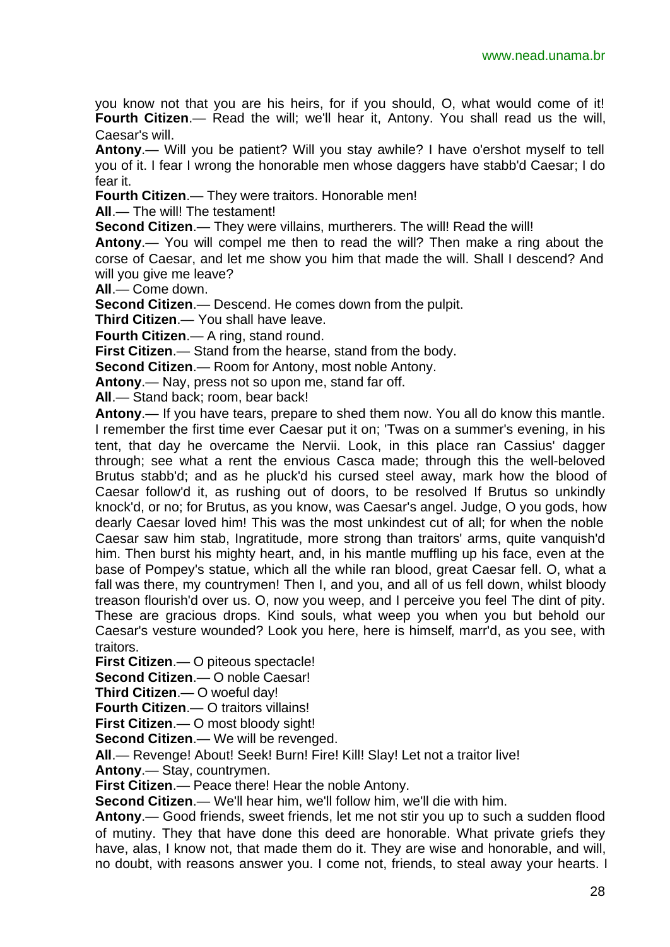you know not that you are his heirs, for if you should, O, what would come of it! **Fourth Citizen.**— Read the will; we'll hear it, Antony. You shall read us the will, Caesar's will.

**Antony**.— Will you be patient? Will you stay awhile? I have o'ershot myself to tell you of it. I fear I wrong the honorable men whose daggers have stabb'd Caesar; I do fear it.

**Fourth Citizen**.— They were traitors. Honorable men!

**All**.— The will! The testament!

**Second Citizen.**— They were villains, murtherers. The will! Read the will!

**Antony**.— You will compel me then to read the will? Then make a ring about the corse of Caesar, and let me show you him that made the will. Shall I descend? And will you give me leave?

**All**.— Come down.

**Second Citizen**.— Descend. He comes down from the pulpit.

**Third Citizen**.— You shall have leave.

**Fourth Citizen**.— A ring, stand round.

**First Citizen**.— Stand from the hearse, stand from the body.

**Second Citizen**.— Room for Antony, most noble Antony.

**Antony**.— Nay, press not so upon me, stand far off.

**All**.— Stand back; room, bear back!

**Antony**.— If you have tears, prepare to shed them now. You all do know this mantle. I remember the first time ever Caesar put it on; 'Twas on a summer's evening, in his tent, that day he overcame the Nervii. Look, in this place ran Cassius' dagger through; see what a rent the envious Casca made; through this the well-beloved Brutus stabb'd; and as he pluck'd his cursed steel away, mark how the blood of Caesar follow'd it, as rushing out of doors, to be resolved If Brutus so unkindly knock'd, or no; for Brutus, as you know, was Caesar's angel. Judge, O you gods, how dearly Caesar loved him! This was the most unkindest cut of all; for when the noble Caesar saw him stab, Ingratitude, more strong than traitors' arms, quite vanquish'd him. Then burst his mighty heart, and, in his mantle muffling up his face, even at the base of Pompey's statue, which all the while ran blood, great Caesar fell. O, what a fall was there, my countrymen! Then I, and you, and all of us fell down, whilst bloody treason flourish'd over us. O, now you weep, and I perceive you feel The dint of pity. These are gracious drops. Kind souls, what weep you when you but behold our Caesar's vesture wounded? Look you here, here is himself, marr'd, as you see, with traitors.

**First Citizen**.— O piteous spectacle!

**Second Citizen**.— O noble Caesar!

**Third Citizen**.— O woeful day!

**Fourth Citizen**.— O traitors villains!

**First Citizen**.— O most bloody sight!

**Second Citizen**.— We will be revenged.

**All**.— Revenge! About! Seek! Burn! Fire! Kill! Slay! Let not a traitor live!

**Antony**.— Stay, countrymen.

**First Citizen**.— Peace there! Hear the noble Antony.

**Second Citizen**.— We'll hear him, we'll follow him, we'll die with him.

**Antony**.— Good friends, sweet friends, let me not stir you up to such a sudden flood of mutiny. They that have done this deed are honorable. What private griefs they have, alas, I know not, that made them do it. They are wise and honorable, and will, no doubt, with reasons answer you. I come not, friends, to steal away your hearts. I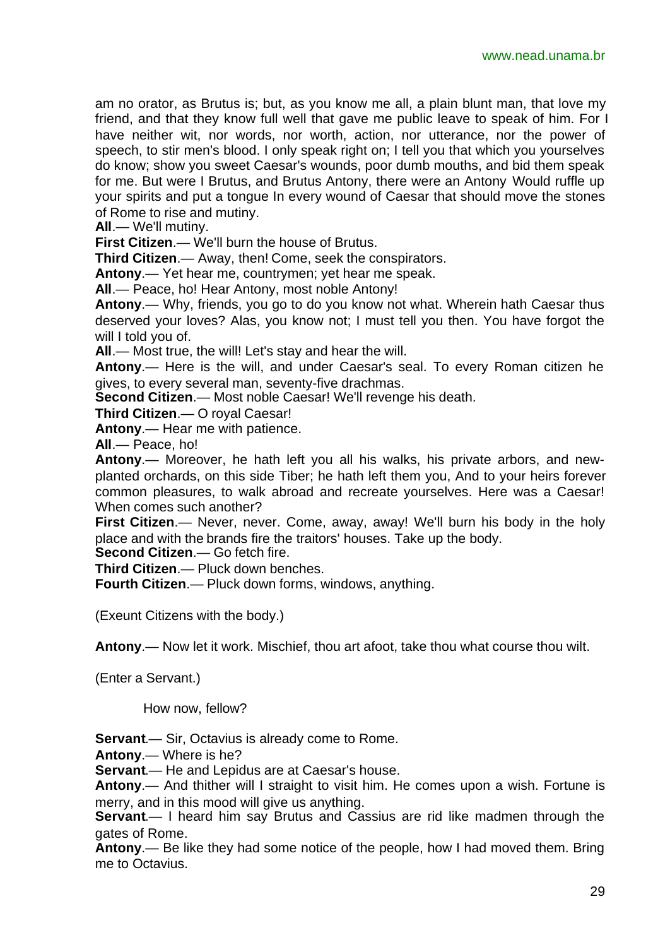am no orator, as Brutus is; but, as you know me all, a plain blunt man, that love my friend, and that they know full well that gave me public leave to speak of him. For I have neither wit, nor words, nor worth, action, nor utterance, nor the power of speech, to stir men's blood. I only speak right on; I tell you that which you yourselves do know; show you sweet Caesar's wounds, poor dumb mouths, and bid them speak for me. But were I Brutus, and Brutus Antony, there were an Antony Would ruffle up your spirits and put a tongue In every wound of Caesar that should move the stones of Rome to rise and mutiny.

**All**.— We'll mutiny.

**First Citizen**.— We'll burn the house of Brutus.

**Third Citizen**.— Away, then! Come, seek the conspirators.

**Antony**.— Yet hear me, countrymen; yet hear me speak.

**All**.— Peace, ho! Hear Antony, most noble Antony!

**Antony**.— Why, friends, you go to do you know not what. Wherein hath Caesar thus deserved your loves? Alas, you know not; I must tell you then. You have forgot the will I told you of.

**All**.— Most true, the will! Let's stay and hear the will.

**Antony**.— Here is the will, and under Caesar's seal. To every Roman citizen he gives, to every several man, seventy-five drachmas.

**Second Citizen**.— Most noble Caesar! We'll revenge his death.

**Third Citizen**.— O royal Caesar!

**Antony**.— Hear me with patience.

**All**.— Peace, ho!

**Antony**.— Moreover, he hath left you all his walks, his private arbors, and newplanted orchards, on this side Tiber; he hath left them you, And to your heirs forever common pleasures, to walk abroad and recreate yourselves. Here was a Caesar! When comes such another?

**First Citizen**.— Never, never. Come, away, away! We'll burn his body in the holy place and with the brands fire the traitors' houses. Take up the body.

**Second Citizen**.— Go fetch fire.

**Third Citizen**.— Pluck down benches.

**Fourth Citizen**.— Pluck down forms, windows, anything.

(Exeunt Citizens with the body.)

**Antony**.— Now let it work. Mischief, thou art afoot, take thou what course thou wilt.

(Enter a Servant.)

How now, fellow?

**Servant**.— Sir, Octavius is already come to Rome.

**Antony**.— Where is he?

**Servant**.— He and Lepidus are at Caesar's house.

**Antony**.— And thither will I straight to visit him. He comes upon a wish. Fortune is merry, and in this mood will give us anything.

**Servant**.— I heard him say Brutus and Cassius are rid like madmen through the gates of Rome.

**Antony**.— Be like they had some notice of the people, how I had moved them. Bring me to Octavius.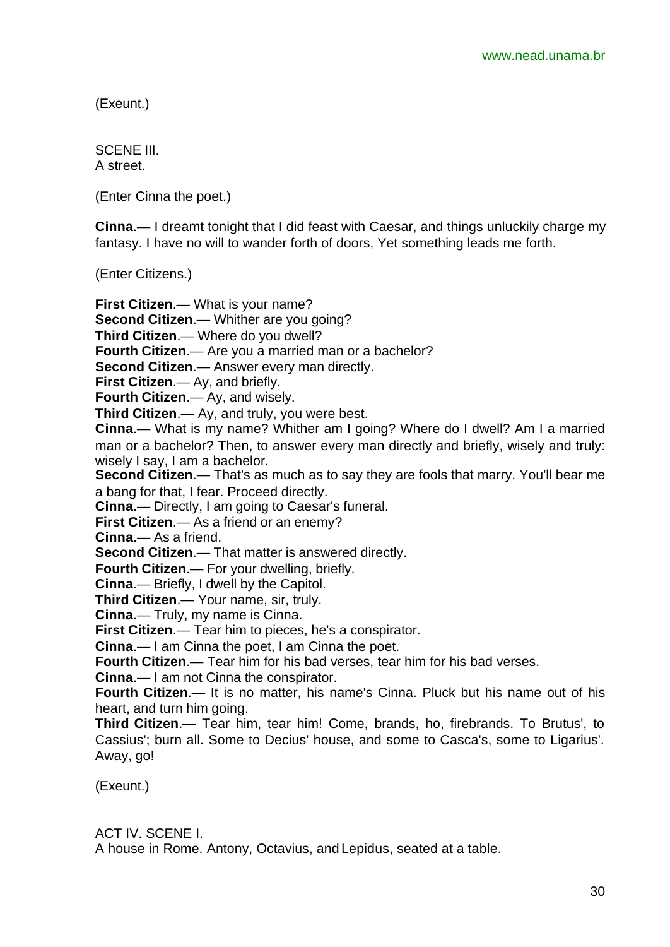(Exeunt.)

SCENE III. A street.

(Enter Cinna the poet.)

**Cinna**.— I dreamt tonight that I did feast with Caesar, and things unluckily charge my fantasy. I have no will to wander forth of doors, Yet something leads me forth.

(Enter Citizens.)

**First Citizen**.— What is your name? **Second Citizen**.— Whither are you going? **Third Citizen**.— Where do you dwell? **Fourth Citizen**.— Are you a married man or a bachelor? **Second Citizen**.— Answer every man directly. **First Citizen**.— Ay, and briefly. **Fourth Citizen**.— Ay, and wisely. **Third Citizen**.— Ay, and truly, you were best. **Cinna**.— What is my name? Whither am I going? Where do I dwell? Am I a married man or a bachelor? Then, to answer every man directly and briefly, wisely and truly: wisely I say, I am a bachelor. **Second Citizen**.— That's as much as to say they are fools that marry. You'll bear me a bang for that, I fear. Proceed directly. **Cinna**.— Directly, I am going to Caesar's funeral. **First Citizen**.— As a friend or an enemy? **Cinna**.— As a friend. **Second Citizen**.— That matter is answered directly. **Fourth Citizen**.— For your dwelling, briefly. **Cinna**.— Briefly, I dwell by the Capitol. **Third Citizen**.— Your name, sir, truly. **Cinna**.— Truly, my name is Cinna. **First Citizen**.— Tear him to pieces, he's a conspirator. **Cinna**.— I am Cinna the poet, I am Cinna the poet. **Fourth Citizen**.— Tear him for his bad verses, tear him for his bad verses. **Cinna**.— I am not Cinna the conspirator. **Fourth Citizen**.— It is no matter, his name's Cinna. Pluck but his name out of his heart, and turn him going. **Third Citizen**.— Tear him, tear him! Come, brands, ho, firebrands. To Brutus', to Cassius'; burn all. Some to Decius' house, and some to Casca's, some to Ligarius'. Away, go!

(Exeunt.)

ACT IV. SCENE I.

A house in Rome. Antony, Octavius, and Lepidus, seated at a table.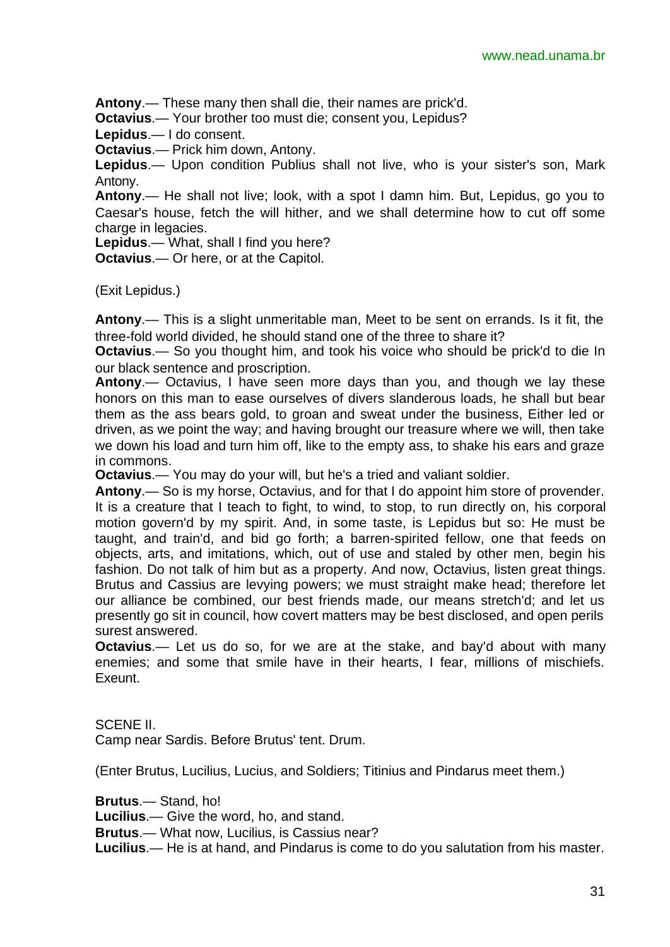**Antony**.— These many then shall die, their names are prick'd.

**Octavius**.— Your brother too must die; consent you, Lepidus?

**Lepidus**.— I do consent.

**Octavius**.— Prick him down, Antony.

**Lepidus**.— Upon condition Publius shall not live, who is your sister's son, Mark Antony.

**Antony**.— He shall not live; look, with a spot I damn him. But, Lepidus, go you to Caesar's house, fetch the will hither, and we shall determine how to cut off some charge in legacies.

**Lepidus**.— What, shall I find you here?

**Octavius**.— Or here, or at the Capitol.

(Exit Lepidus.)

**Antony**.— This is a slight unmeritable man, Meet to be sent on errands. Is it fit, the three-fold world divided, he should stand one of the three to share it?

**Octavius**.— So you thought him, and took his voice who should be prick'd to die In our black sentence and proscription.

**Antony**.— Octavius, I have seen more days than you, and though we lay these honors on this man to ease ourselves of divers slanderous loads, he shall but bear them as the ass bears gold, to groan and sweat under the business, Either led or driven, as we point the way; and having brought our treasure where we will, then take we down his load and turn him off, like to the empty ass, to shake his ears and graze in commons.

**Octavius**.— You may do your will, but he's a tried and valiant soldier.

**Antony**.— So is my horse, Octavius, and for that I do appoint him store of provender. It is a creature that I teach to fight, to wind, to stop, to run directly on, his corporal motion govern'd by my spirit. And, in some taste, is Lepidus but so: He must be taught, and train'd, and bid go forth; a barren-spirited fellow, one that feeds on objects, arts, and imitations, which, out of use and staled by other men, begin his fashion. Do not talk of him but as a property. And now, Octavius, listen great things. Brutus and Cassius are levying powers; we must straight make head; therefore let our alliance be combined, our best friends made, our means stretch'd; and let us presently go sit in council, how covert matters may be best disclosed, and open perils surest answered.

**Octavius**.— Let us do so, for we are at the stake, and bay'd about with many enemies; and some that smile have in their hearts, I fear, millions of mischiefs. Exeunt.

SCENE II.

Camp near Sardis. Before Brutus' tent. Drum.

(Enter Brutus, Lucilius, Lucius, and Soldiers; Titinius and Pindarus meet them.)

**Brutus**.— Stand, ho!

**Lucilius**.— Give the word, ho, and stand.

**Brutus**.— What now, Lucilius, is Cassius near?

**Lucilius**.— He is at hand, and Pindarus is come to do you salutation from his master.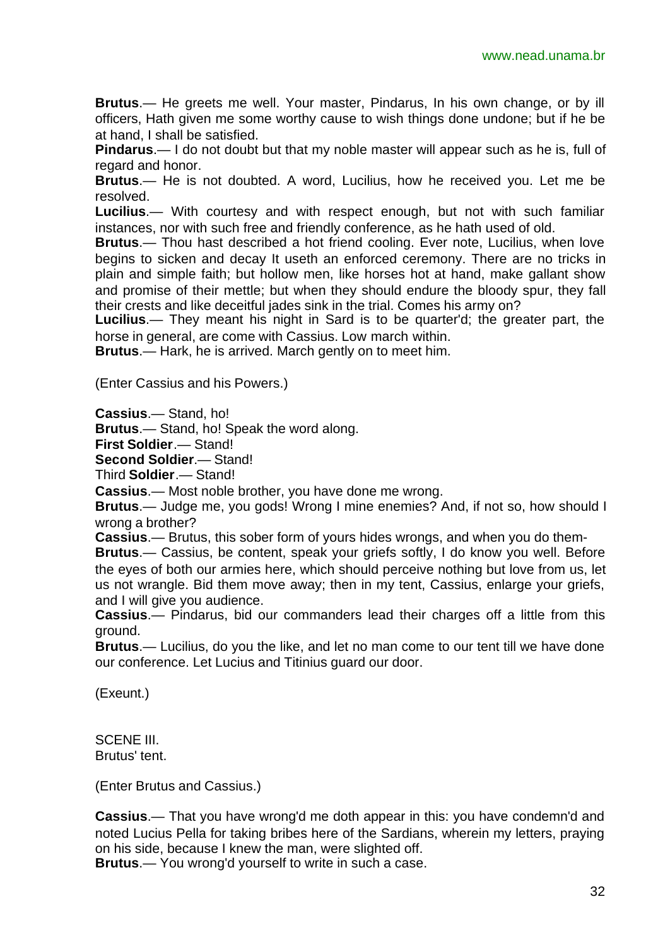**Brutus**.— He greets me well. Your master, Pindarus, In his own change, or by ill officers, Hath given me some worthy cause to wish things done undone; but if he be at hand, I shall be satisfied.

**Pindarus**.— I do not doubt but that my noble master will appear such as he is, full of regard and honor.

**Brutus**.— He is not doubted. A word, Lucilius, how he received you. Let me be resolved.

**Lucilius**.— With courtesy and with respect enough, but not with such familiar instances, nor with such free and friendly conference, as he hath used of old.

**Brutus**.— Thou hast described a hot friend cooling. Ever note, Lucilius, when love begins to sicken and decay It useth an enforced ceremony. There are no tricks in plain and simple faith; but hollow men, like horses hot at hand, make gallant show and promise of their mettle; but when they should endure the bloody spur, they fall their crests and like deceitful jades sink in the trial. Comes his army on?

**Lucilius**.— They meant his night in Sard is to be quarter'd; the greater part, the horse in general, are come with Cassius. Low march within.

**Brutus**.— Hark, he is arrived. March gently on to meet him.

(Enter Cassius and his Powers.)

**Cassius**.— Stand, ho!

**Brutus**.— Stand, ho! Speak the word along.

**First Soldier**.— Stand!

**Second Soldier**.— Stand!

Third **Soldier**.— Stand!

**Cassius**.— Most noble brother, you have done me wrong.

**Brutus**.— Judge me, you gods! Wrong I mine enemies? And, if not so, how should I wrong a brother?

**Cassius**.— Brutus, this sober form of yours hides wrongs, and when you do them-

**Brutus**.— Cassius, be content, speak your griefs softly, I do know you well. Before the eyes of both our armies here, which should perceive nothing but love from us, let us not wrangle. Bid them move away; then in my tent, Cassius, enlarge your griefs, and I will give you audience.

**Cassius**.— Pindarus, bid our commanders lead their charges off a little from this ground.

**Brutus**.— Lucilius, do you the like, and let no man come to our tent till we have done our conference. Let Lucius and Titinius guard our door.

(Exeunt.)

SCENE III. Brutus' tent.

(Enter Brutus and Cassius.)

**Cassius**.— That you have wrong'd me doth appear in this: you have condemn'd and noted Lucius Pella for taking bribes here of the Sardians, wherein my letters, praying on his side, because I knew the man, were slighted off. **Brutus**.— You wrong'd yourself to write in such a case.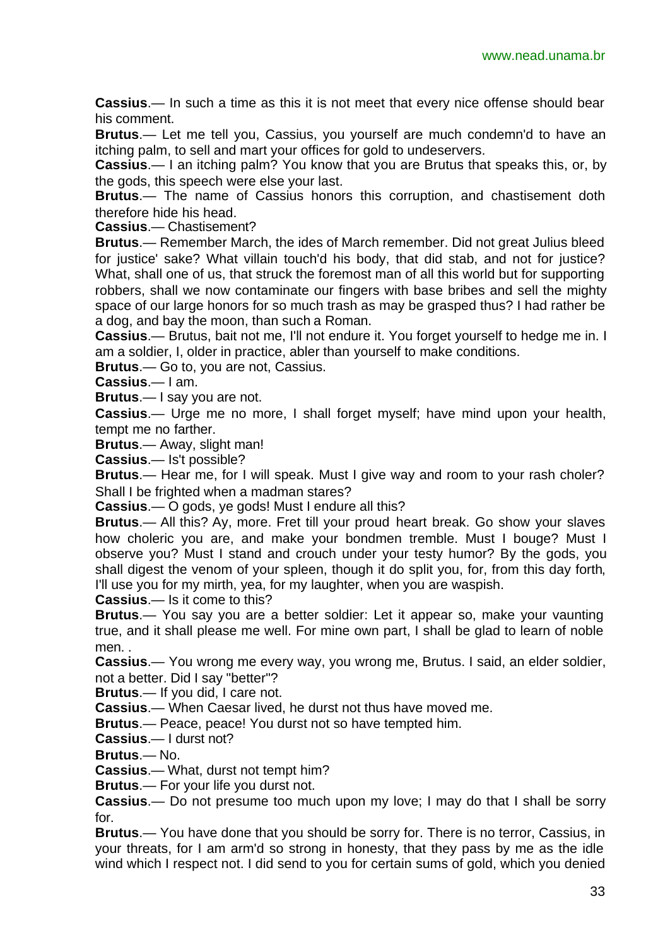**Cassius**.— In such a time as this it is not meet that every nice offense should bear his comment.

**Brutus**.— Let me tell you, Cassius, you yourself are much condemn'd to have an itching palm, to sell and mart your offices for gold to undeservers.

**Cassius**.— I an itching palm? You know that you are Brutus that speaks this, or, by the gods, this speech were else your last.

**Brutus**.— The name of Cassius honors this corruption, and chastisement doth therefore hide his head.

**Cassius**.— Chastisement?

**Brutus**.— Remember March, the ides of March remember. Did not great Julius bleed for justice' sake? What villain touch'd his body, that did stab, and not for justice? What, shall one of us, that struck the foremost man of all this world but for supporting robbers, shall we now contaminate our fingers with base bribes and sell the mighty space of our large honors for so much trash as may be grasped thus? I had rather be a dog, and bay the moon, than such a Roman.

**Cassius**.— Brutus, bait not me, I'll not endure it. You forget yourself to hedge me in. I am a soldier, I, older in practice, abler than yourself to make conditions.

**Brutus**.— Go to, you are not, Cassius.

**Cassius**.— I am.

**Brutus**.— I say you are not.

**Cassius**.— Urge me no more, I shall forget myself; have mind upon your health, tempt me no farther.

**Brutus**.— Away, slight man!

**Cassius**.— Is't possible?

**Brutus**.— Hear me, for I will speak. Must I give way and room to your rash choler? Shall I be frighted when a madman stares?

**Cassius**.— O gods, ye gods! Must I endure all this?

**Brutus**.— All this? Ay, more. Fret till your proud heart break. Go show your slaves how choleric you are, and make your bondmen tremble. Must I bouge? Must I observe you? Must I stand and crouch under your testy humor? By the gods, you shall digest the venom of your spleen, though it do split you, for, from this day forth, I'll use you for my mirth, yea, for my laughter, when you are waspish.

**Cassius**.— Is it come to this?

**Brutus**.— You say you are a better soldier: Let it appear so, make your vaunting true, and it shall please me well. For mine own part, I shall be glad to learn of noble men. .

**Cassius**.— You wrong me every way, you wrong me, Brutus. I said, an elder soldier, not a better. Did I say "better"?

**Brutus**.— If you did, I care not.

**Cassius**.— When Caesar lived, he durst not thus have moved me.

**Brutus**.— Peace, peace! You durst not so have tempted him.

**Cassius**.— I durst not?

**Brutus**.— No.

**Cassius**.— What, durst not tempt him?

**Brutus**.— For your life you durst not.

**Cassius**.— Do not presume too much upon my love; I may do that I shall be sorry for.

**Brutus**.— You have done that you should be sorry for. There is no terror, Cassius, in your threats, for I am arm'd so strong in honesty, that they pass by me as the idle wind which I respect not. I did send to you for certain sums of gold, which you denied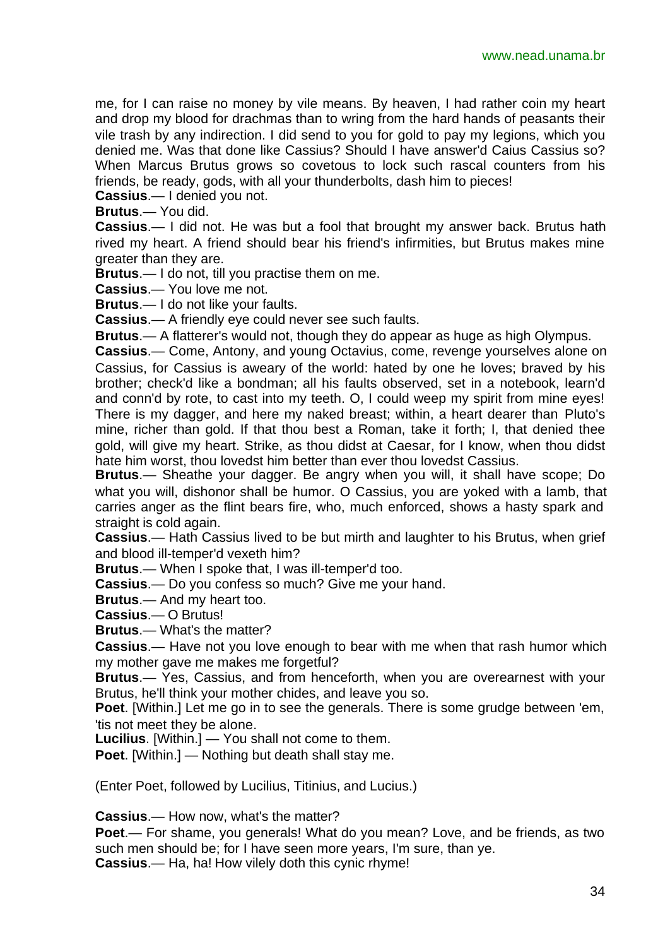me, for I can raise no money by vile means. By heaven, I had rather coin my heart and drop my blood for drachmas than to wring from the hard hands of peasants their vile trash by any indirection. I did send to you for gold to pay my legions, which you denied me. Was that done like Cassius? Should I have answer'd Caius Cassius so? When Marcus Brutus grows so covetous to lock such rascal counters from his friends, be ready, gods, with all your thunderbolts, dash him to pieces!

**Cassius**.— I denied you not.

**Brutus**.— You did.

**Cassius**.— I did not. He was but a fool that brought my answer back. Brutus hath rived my heart. A friend should bear his friend's infirmities, but Brutus makes mine greater than they are.

**Brutus**.— I do not, till you practise them on me.

**Cassius**.— You love me not.

**Brutus**.— I do not like your faults.

**Cassius**.— A friendly eye could never see such faults.

**Brutus**.— A flatterer's would not, though they do appear as huge as high Olympus.

**Cassius**.— Come, Antony, and young Octavius, come, revenge yourselves alone on Cassius, for Cassius is aweary of the world: hated by one he loves; braved by his brother; check'd like a bondman; all his faults observed, set in a notebook, learn'd and conn'd by rote, to cast into my teeth. O, I could weep my spirit from mine eyes! There is my dagger, and here my naked breast; within, a heart dearer than Pluto's mine, richer than gold. If that thou best a Roman, take it forth; I, that denied thee gold, will give my heart. Strike, as thou didst at Caesar, for I know, when thou didst hate him worst, thou lovedst him better than ever thou lovedst Cassius.

**Brutus**.— Sheathe your dagger. Be angry when you will, it shall have scope; Do what you will, dishonor shall be humor. O Cassius, you are yoked with a lamb, that carries anger as the flint bears fire, who, much enforced, shows a hasty spark and straight is cold again.

**Cassius**.— Hath Cassius lived to be but mirth and laughter to his Brutus, when grief and blood ill-temper'd vexeth him?

**Brutus**.— When I spoke that, I was ill-temper'd too.

**Cassius**.— Do you confess so much? Give me your hand.

**Brutus**.— And my heart too.

**Cassius**.— O Brutus!

**Brutus**.— What's the matter?

**Cassius**.— Have not you love enough to bear with me when that rash humor which my mother gave me makes me forgetful?

**Brutus**.— Yes, Cassius, and from henceforth, when you are overearnest with your Brutus, he'll think your mother chides, and leave you so.

**Poet**. [Within.] Let me go in to see the generals. There is some grudge between 'em, 'tis not meet they be alone.

**Lucilius**. [Within.] — You shall not come to them.

**Poet**. [Within.] — Nothing but death shall stay me.

(Enter Poet, followed by Lucilius, Titinius, and Lucius.)

**Cassius**.— How now, what's the matter?

**Poet**.— For shame, you generals! What do you mean? Love, and be friends, as two such men should be; for I have seen more years, I'm sure, than ye. **Cassius**.— Ha, ha! How vilely doth this cynic rhyme!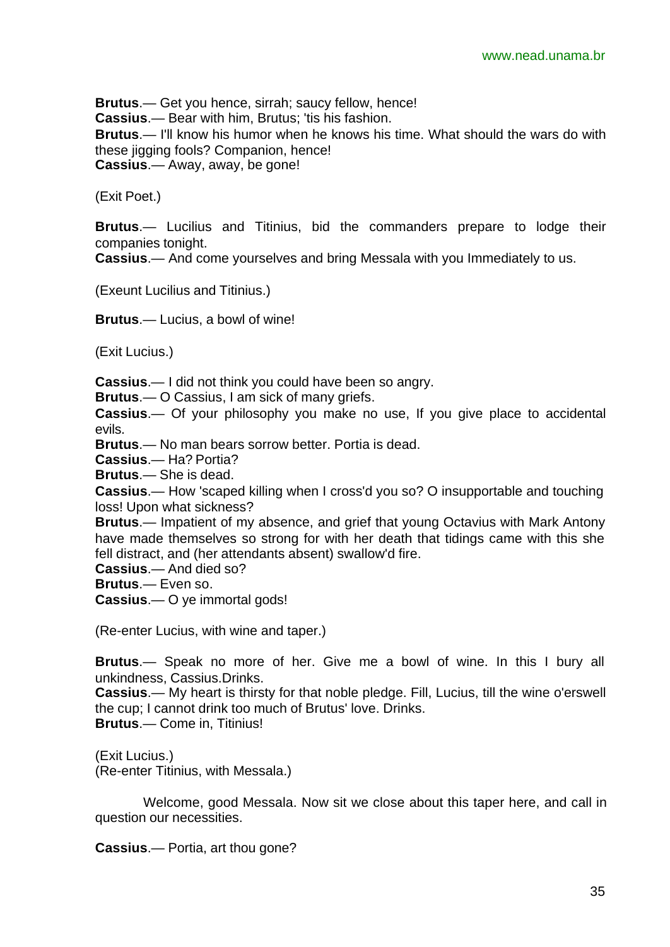**Brutus**.— Get you hence, sirrah; saucy fellow, hence! **Cassius**.— Bear with him, Brutus; 'tis his fashion. **Brutus**.— I'll know his humor when he knows his time. What should the wars do with these jigging fools? Companion, hence! **Cassius**.— Away, away, be gone!

(Exit Poet.)

**Brutus**.— Lucilius and Titinius, bid the commanders prepare to lodge their companies tonight.

**Cassius**.— And come yourselves and bring Messala with you Immediately to us.

(Exeunt Lucilius and Titinius.)

**Brutus**.— Lucius, a bowl of wine!

(Exit Lucius.)

**Cassius**.— I did not think you could have been so angry.

**Brutus**.— O Cassius, I am sick of many griefs.

**Cassius**.— Of your philosophy you make no use, If you give place to accidental evils.

**Brutus**.— No man bears sorrow better. Portia is dead.

**Cassius**.— Ha? Portia?

**Brutus**.— She is dead.

**Cassius**.— How 'scaped killing when I cross'd you so? O insupportable and touching loss! Upon what sickness?

**Brutus**.— Impatient of my absence, and grief that young Octavius with Mark Antony have made themselves so strong for with her death that tidings came with this she fell distract, and (her attendants absent) swallow'd fire.

**Cassius**.— And died so?

**Brutus**.— Even so.

**Cassius**.— O ye immortal gods!

(Re-enter Lucius, with wine and taper.)

**Brutus**.— Speak no more of her. Give me a bowl of wine. In this I bury all unkindness, Cassius.Drinks.

**Cassius**.— My heart is thirsty for that noble pledge. Fill, Lucius, till the wine o'erswell the cup; I cannot drink too much of Brutus' love. Drinks. **Brutus**.— Come in, Titinius!

(Exit Lucius.)

(Re-enter Titinius, with Messala.)

Welcome, good Messala. Now sit we close about this taper here, and call in question our necessities.

**Cassius**.— Portia, art thou gone?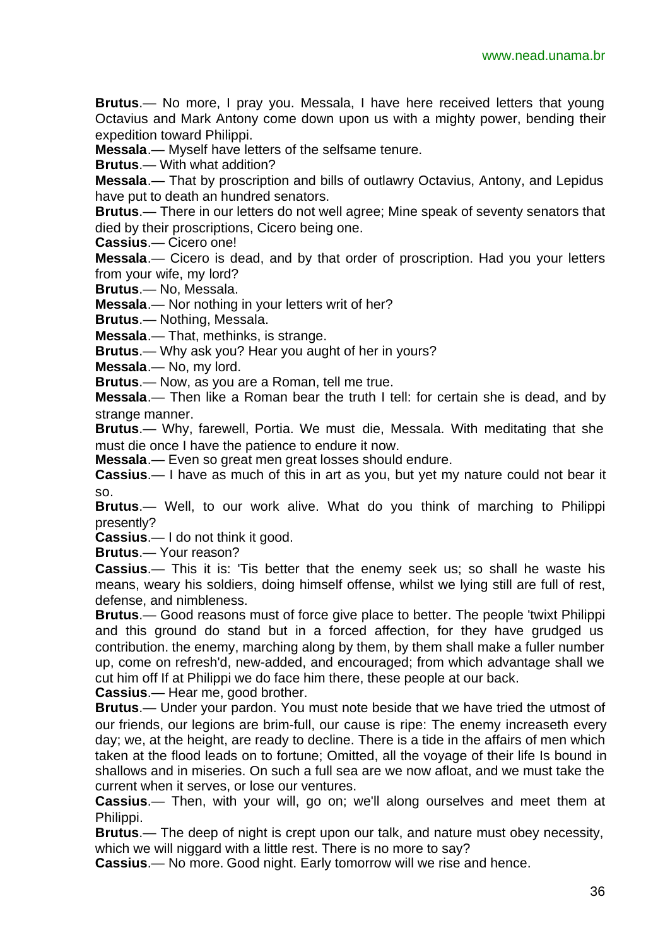**Brutus**.— No more, I pray you. Messala, I have here received letters that young Octavius and Mark Antony come down upon us with a mighty power, bending their expedition toward Philippi.

**Messala**.— Myself have letters of the selfsame tenure.

**Brutus**.— With what addition?

**Messala**.— That by proscription and bills of outlawry Octavius, Antony, and Lepidus have put to death an hundred senators.

**Brutus**.— There in our letters do not well agree; Mine speak of seventy senators that died by their proscriptions, Cicero being one.

**Cassius**.— Cicero one!

**Messala**.— Cicero is dead, and by that order of proscription. Had you your letters from your wife, my lord?

**Brutus**.— No, Messala.

**Messala**.— Nor nothing in your letters writ of her?

**Brutus**.— Nothing, Messala.

**Messala**.— That, methinks, is strange.

**Brutus**.— Why ask you? Hear you aught of her in yours?

**Messala**.— No, my lord.

**Brutus**.— Now, as you are a Roman, tell me true.

**Messala**.— Then like a Roman bear the truth I tell: for certain she is dead, and by strange manner.

**Brutus**.— Why, farewell, Portia. We must die, Messala. With meditating that she must die once I have the patience to endure it now.

**Messala**.— Even so great men great losses should endure.

**Cassius**.— I have as much of this in art as you, but yet my nature could not bear it so.

**Brutus**.— Well, to our work alive. What do you think of marching to Philippi presently?

**Cassius**.— I do not think it good.

**Brutus**.— Your reason?

**Cassius**.— This it is: 'Tis better that the enemy seek us; so shall he waste his means, weary his soldiers, doing himself offense, whilst we lying still are full of rest, defense, and nimbleness.

**Brutus**.— Good reasons must of force give place to better. The people 'twixt Philippi and this ground do stand but in a forced affection, for they have grudged us contribution. the enemy, marching along by them, by them shall make a fuller number up, come on refresh'd, new-added, and encouraged; from which advantage shall we cut him off If at Philippi we do face him there, these people at our back.

**Cassius**.— Hear me, good brother.

**Brutus**.— Under your pardon. You must note beside that we have tried the utmost of our friends, our legions are brim-full, our cause is ripe: The enemy increaseth every day; we, at the height, are ready to decline. There is a tide in the affairs of men which taken at the flood leads on to fortune; Omitted, all the voyage of their life Is bound in shallows and in miseries. On such a full sea are we now afloat, and we must take the current when it serves, or lose our ventures.

**Cassius**.— Then, with your will, go on; we'll along ourselves and meet them at Philippi.

**Brutus**.— The deep of night is crept upon our talk, and nature must obey necessity, which we will niggard with a little rest. There is no more to say?

**Cassius**.— No more. Good night. Early tomorrow will we rise and hence.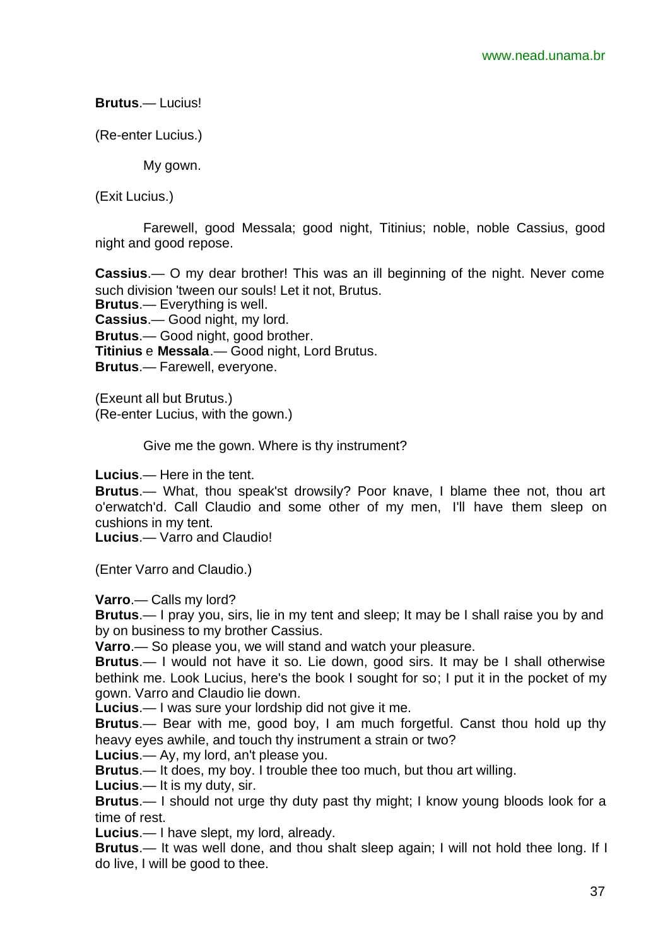**Brutus**.— Lucius!

(Re-enter Lucius.)

My gown.

(Exit Lucius.)

Farewell, good Messala; good night, Titinius; noble, noble Cassius, good night and good repose.

**Cassius**.— O my dear brother! This was an ill beginning of the night. Never come such division 'tween our souls! Let it not, Brutus. **Brutus**.— Everything is well. **Cassius**.— Good night, my lord. **Brutus**.— Good night, good brother. **Titinius** e **Messala**.— Good night, Lord Brutus. **Brutus**.— Farewell, everyone.

(Exeunt all but Brutus.) (Re-enter Lucius, with the gown.)

Give me the gown. Where is thy instrument?

**Lucius**.— Here in the tent.

**Brutus**.— What, thou speak'st drowsily? Poor knave, I blame thee not, thou art o'erwatch'd. Call Claudio and some other of my men, I'll have them sleep on cushions in my tent.

**Lucius**.— Varro and Claudio!

(Enter Varro and Claudio.)

**Varro**.— Calls my lord?

**Brutus**.— I pray you, sirs, lie in my tent and sleep; It may be I shall raise you by and by on business to my brother Cassius.

**Varro**.— So please you, we will stand and watch your pleasure.

**Brutus**.— I would not have it so. Lie down, good sirs. It may be I shall otherwise bethink me. Look Lucius, here's the book I sought for so; I put it in the pocket of my gown. Varro and Claudio lie down.

**Lucius**.— I was sure your lordship did not give it me.

**Brutus**.— Bear with me, good boy, I am much forgetful. Canst thou hold up thy heavy eyes awhile, and touch thy instrument a strain or two?

**Lucius**.— Ay, my lord, an't please you.

**Brutus**.— It does, my boy. I trouble thee too much, but thou art willing.

**Lucius**.— It is my duty, sir.

**Brutus**.— I should not urge thy duty past thy might; I know young bloods look for a time of rest.

**Lucius**.— I have slept, my lord, already.

**Brutus**.— It was well done, and thou shalt sleep again; I will not hold thee long. If I do live, I will be good to thee.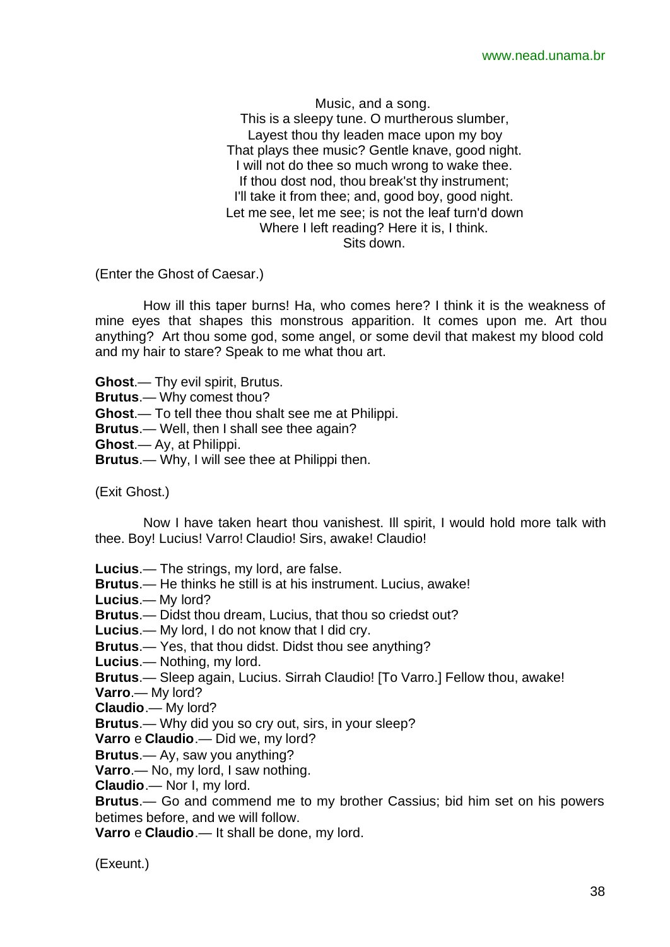Music, and a song. This is a sleepy tune. O murtherous slumber, Layest thou thy leaden mace upon my boy That plays thee music? Gentle knave, good night. I will not do thee so much wrong to wake thee. If thou dost nod, thou break'st thy instrument; I'll take it from thee; and, good boy, good night. Let me see, let me see; is not the leaf turn'd down Where I left reading? Here it is, I think. Sits down.

(Enter the Ghost of Caesar.)

How ill this taper burns! Ha, who comes here? I think it is the weakness of mine eyes that shapes this monstrous apparition. It comes upon me. Art thou anything? Art thou some god, some angel, or some devil that makest my blood cold and my hair to stare? Speak to me what thou art.

**Ghost**.— Thy evil spirit, Brutus. **Brutus**.— Why comest thou? **Ghost**.— To tell thee thou shalt see me at Philippi. **Brutus**.— Well, then I shall see thee again? **Ghost**.— Ay, at Philippi.

**Brutus**.— Why, I will see thee at Philippi then.

(Exit Ghost.)

Now I have taken heart thou vanishest. Ill spirit, I would hold more talk with thee. Boy! Lucius! Varro! Claudio! Sirs, awake! Claudio!

**Lucius**.— The strings, my lord, are false.

**Brutus**.— He thinks he still is at his instrument. Lucius, awake!

**Lucius**.— My lord?

**Brutus**.— Didst thou dream, Lucius, that thou so criedst out?

**Lucius**.— My lord, I do not know that I did cry.

**Brutus**.— Yes, that thou didst. Didst thou see anything?

**Lucius**.— Nothing, my lord.

**Brutus**.— Sleep again, Lucius. Sirrah Claudio! [To Varro.] Fellow thou, awake!

**Varro**.— My lord?

**Claudio**.— My lord?

**Brutus**.— Why did you so cry out, sirs, in your sleep?

**Varro** e **Claudio**.— Did we, my lord?

**Brutus**.— Ay, saw you anything?

**Varro**.— No, my lord, I saw nothing.

**Claudio**.— Nor I, my lord.

**Brutus**.— Go and commend me to my brother Cassius; bid him set on his powers betimes before, and we will follow.

**Varro** e **Claudio**.— It shall be done, my lord.

(Exeunt.)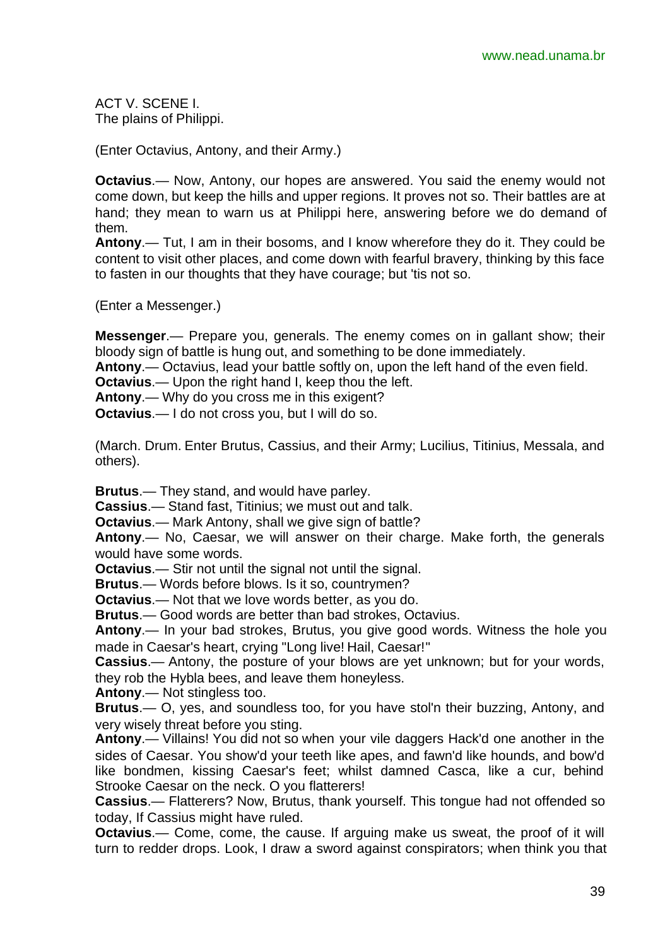ACT V. SCENE I. The plains of Philippi.

(Enter Octavius, Antony, and their Army.)

**Octavius**.— Now, Antony, our hopes are answered. You said the enemy would not come down, but keep the hills and upper regions. It proves not so. Their battles are at hand; they mean to warn us at Philippi here, answering before we do demand of them.

**Antony**.— Tut, I am in their bosoms, and I know wherefore they do it. They could be content to visit other places, and come down with fearful bravery, thinking by this face to fasten in our thoughts that they have courage; but 'tis not so.

(Enter a Messenger.)

**Messenger**.— Prepare you, generals. The enemy comes on in gallant show; their bloody sign of battle is hung out, and something to be done immediately.

**Antony**.— Octavius, lead your battle softly on, upon the left hand of the even field.

**Octavius**.— Upon the right hand I, keep thou the left.

**Antony**.— Why do you cross me in this exigent?

**Octavius**.— I do not cross you, but I will do so.

(March. Drum. Enter Brutus, Cassius, and their Army; Lucilius, Titinius, Messala, and others).

**Brutus**.— They stand, and would have parley.

**Cassius**.— Stand fast, Titinius; we must out and talk.

**Octavius**.— Mark Antony, shall we give sign of battle?

**Antony**.— No, Caesar, we will answer on their charge. Make forth, the generals would have some words.

**Octavius**.— Stir not until the signal not until the signal.

**Brutus**.— Words before blows. Is it so, countrymen?

**Octavius**.— Not that we love words better, as you do.

**Brutus**.— Good words are better than bad strokes, Octavius.

**Antony**.— In your bad strokes, Brutus, you give good words. Witness the hole you made in Caesar's heart, crying "Long live! Hail, Caesar!"

**Cassius**.— Antony, the posture of your blows are yet unknown; but for your words, they rob the Hybla bees, and leave them honeyless.

**Antony**.— Not stingless too.

**Brutus**.— O, yes, and soundless too, for you have stol'n their buzzing, Antony, and very wisely threat before you sting.

**Antony**.— Villains! You did not so when your vile daggers Hack'd one another in the sides of Caesar. You show'd your teeth like apes, and fawn'd like hounds, and bow'd like bondmen, kissing Caesar's feet; whilst damned Casca, like a cur, behind Strooke Caesar on the neck. O you flatterers!

**Cassius**.— Flatterers? Now, Brutus, thank yourself. This tongue had not offended so today, If Cassius might have ruled.

**Octavius.**— Come, come, the cause. If arguing make us sweat, the proof of it will turn to redder drops. Look, I draw a sword against conspirators; when think you that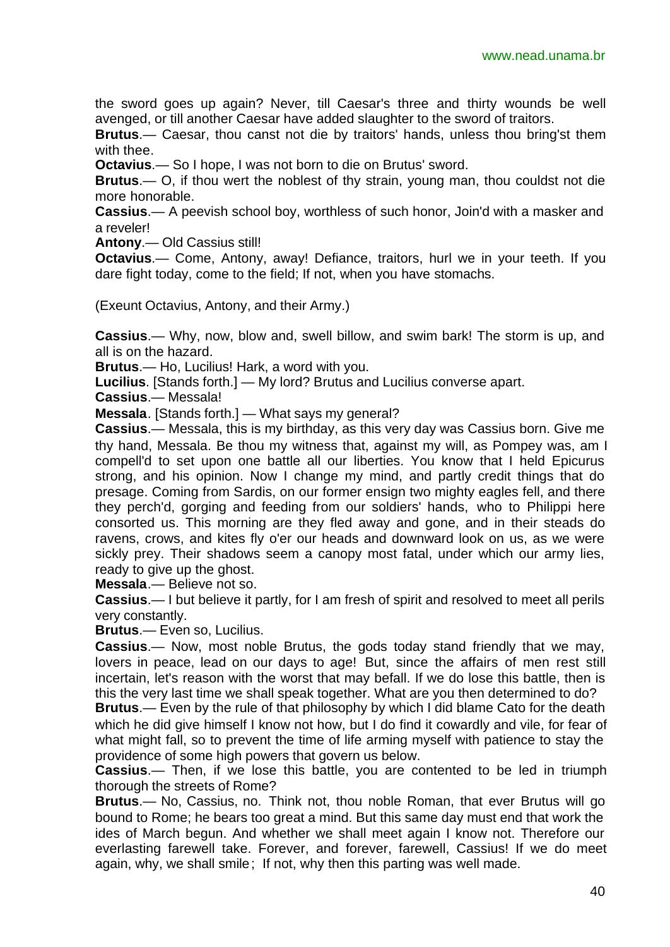the sword goes up again? Never, till Caesar's three and thirty wounds be well avenged, or till another Caesar have added slaughter to the sword of traitors.

**Brutus**.— Caesar, thou canst not die by traitors' hands, unless thou bring'st them with thee.

**Octavius**.— So I hope, I was not born to die on Brutus' sword.

**Brutus**.— O, if thou wert the noblest of thy strain, young man, thou couldst not die more honorable.

**Cassius**.— A peevish school boy, worthless of such honor, Join'd with a masker and a reveler!

**Antony**.— Old Cassius still!

**Octavius**.— Come, Antony, away! Defiance, traitors, hurl we in your teeth. If you dare fight today, come to the field; If not, when you have stomachs.

(Exeunt Octavius, Antony, and their Army.)

**Cassius**.— Why, now, blow and, swell billow, and swim bark! The storm is up, and all is on the hazard.

**Brutus**.— Ho, Lucilius! Hark, a word with you.

**Lucilius**. [Stands forth.] — My lord? Brutus and Lucilius converse apart.

**Cassius**.— Messala!

**Messala**. [Stands forth.] — What says my general?

**Cassius**.— Messala, this is my birthday, as this very day was Cassius born. Give me thy hand, Messala. Be thou my witness that, against my will, as Pompey was, am I compell'd to set upon one battle all our liberties. You know that I held Epicurus strong, and his opinion. Now I change my mind, and partly credit things that do presage. Coming from Sardis, on our former ensign two mighty eagles fell, and there they perch'd, gorging and feeding from our soldiers' hands, who to Philippi here consorted us. This morning are they fled away and gone, and in their steads do ravens, crows, and kites fly o'er our heads and downward look on us, as we were sickly prey. Their shadows seem a canopy most fatal, under which our army lies, ready to give up the ghost.

**Messala**.— Believe not so.

**Cassius**.— I but believe it partly, for I am fresh of spirit and resolved to meet all perils very constantly.

**Brutus**.— Even so, Lucilius.

**Cassius**.— Now, most noble Brutus, the gods today stand friendly that we may, lovers in peace, lead on our days to age! But, since the affairs of men rest still incertain, let's reason with the worst that may befall. If we do lose this battle, then is this the very last time we shall speak together. What are you then determined to do?

**Brutus**.— Even by the rule of that philosophy by which I did blame Cato for the death which he did give himself I know not how, but I do find it cowardly and vile, for fear of what might fall, so to prevent the time of life arming myself with patience to stay the providence of some high powers that govern us below.

**Cassius**.— Then, if we lose this battle, you are contented to be led in triumph thorough the streets of Rome?

**Brutus**.— No, Cassius, no. Think not, thou noble Roman, that ever Brutus will go bound to Rome; he bears too great a mind. But this same day must end that work the ides of March begun. And whether we shall meet again I know not. Therefore our everlasting farewell take. Forever, and forever, farewell, Cassius! If we do meet again, why, we shall smile; If not, why then this parting was well made.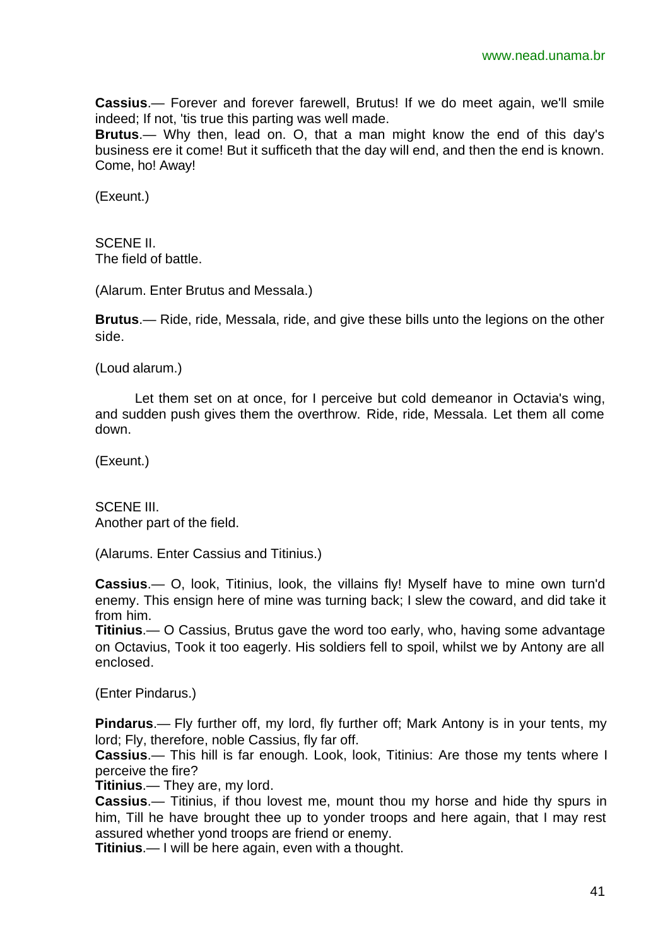**Cassius**.— Forever and forever farewell, Brutus! If we do meet again, we'll smile indeed; If not, 'tis true this parting was well made.

**Brutus**.— Why then, lead on. O, that a man might know the end of this day's business ere it come! But it sufficeth that the day will end, and then the end is known. Come, ho! Away!

(Exeunt.)

SCENE II. The field of battle.

(Alarum. Enter Brutus and Messala.)

**Brutus**.— Ride, ride, Messala, ride, and give these bills unto the legions on the other side.

(Loud alarum.)

Let them set on at once, for I perceive but cold demeanor in Octavia's wing, and sudden push gives them the overthrow. Ride, ride, Messala. Let them all come down.

(Exeunt.)

SCENE III. Another part of the field.

(Alarums. Enter Cassius and Titinius.)

**Cassius**.— O, look, Titinius, look, the villains fly! Myself have to mine own turn'd enemy. This ensign here of mine was turning back; I slew the coward, and did take it from him.

**Titinius**.— O Cassius, Brutus gave the word too early, who, having some advantage on Octavius, Took it too eagerly. His soldiers fell to spoil, whilst we by Antony are all enclosed.

(Enter Pindarus.)

**Pindarus**.— Fly further off, my lord, fly further off; Mark Antony is in your tents, my lord; Fly, therefore, noble Cassius, fly far off.

**Cassius**.— This hill is far enough. Look, look, Titinius: Are those my tents where I perceive the fire?

**Titinius**.— They are, my lord.

**Cassius**.— Titinius, if thou lovest me, mount thou my horse and hide thy spurs in him, Till he have brought thee up to yonder troops and here again, that I may rest assured whether yond troops are friend or enemy.

**Titinius**.— I will be here again, even with a thought.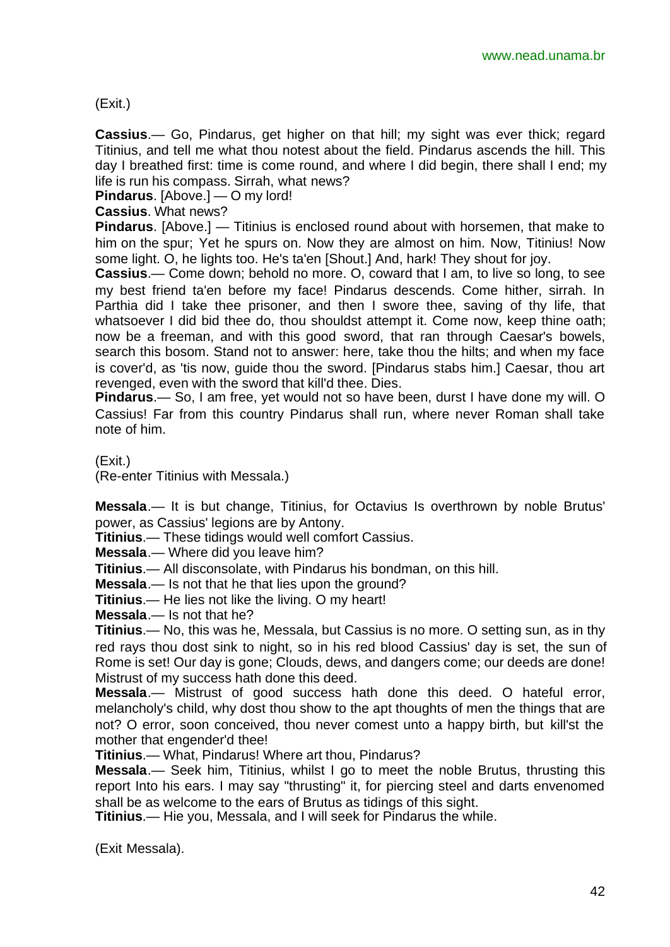#### (Exit.)

**Cassius**.— Go, Pindarus, get higher on that hill; my sight was ever thick; regard Titinius, and tell me what thou notest about the field. Pindarus ascends the hill. This day I breathed first: time is come round, and where I did begin, there shall I end; my life is run his compass. Sirrah, what news?

**Pindarus**. [Above.] — O my lord!

**Cassius**. What news?

**Pindarus**. [Above.] — Titinius is enclosed round about with horsemen, that make to him on the spur; Yet he spurs on. Now they are almost on him. Now, Titinius! Now some light. O, he lights too. He's ta'en [Shout.] And, hark! They shout for joy.

**Cassius**.— Come down; behold no more. O, coward that I am, to live so long, to see my best friend ta'en before my face! Pindarus descends. Come hither, sirrah. In Parthia did I take thee prisoner, and then I swore thee, saving of thy life, that whatsoever I did bid thee do, thou shouldst attempt it. Come now, keep thine oath; now be a freeman, and with this good sword, that ran through Caesar's bowels, search this bosom. Stand not to answer: here, take thou the hilts; and when my face is cover'd, as 'tis now, guide thou the sword. [Pindarus stabs him.] Caesar, thou art revenged, even with the sword that kill'd thee. Dies.

**Pindarus**.— So, I am free, yet would not so have been, durst I have done my will. O Cassius! Far from this country Pindarus shall run, where never Roman shall take note of him.

(Exit.)

(Re-enter Titinius with Messala.)

**Messala**.— It is but change, Titinius, for Octavius Is overthrown by noble Brutus' power, as Cassius' legions are by Antony.

**Titinius**.— These tidings would well comfort Cassius.

**Messala**.— Where did you leave him?

**Titinius**.— All disconsolate, with Pindarus his bondman, on this hill.

**Messala**.— Is not that he that lies upon the ground?

**Titinius**.— He lies not like the living. O my heart!

**Messala**.— Is not that he?

**Titinius**.— No, this was he, Messala, but Cassius is no more. O setting sun, as in thy red rays thou dost sink to night, so in his red blood Cassius' day is set, the sun of Rome is set! Our day is gone; Clouds, dews, and dangers come; our deeds are done! Mistrust of my success hath done this deed.

**Messala**.— Mistrust of good success hath done this deed. O hateful error, melancholy's child, why dost thou show to the apt thoughts of men the things that are not? O error, soon conceived, thou never comest unto a happy birth, but kill'st the mother that engender'd thee!

**Titinius**.— What, Pindarus! Where art thou, Pindarus?

**Messala**.— Seek him, Titinius, whilst I go to meet the noble Brutus, thrusting this report Into his ears. I may say "thrusting" it, for piercing steel and darts envenomed shall be as welcome to the ears of Brutus as tidings of this sight.

**Titinius**.— Hie you, Messala, and I will seek for Pindarus the while.

(Exit Messala).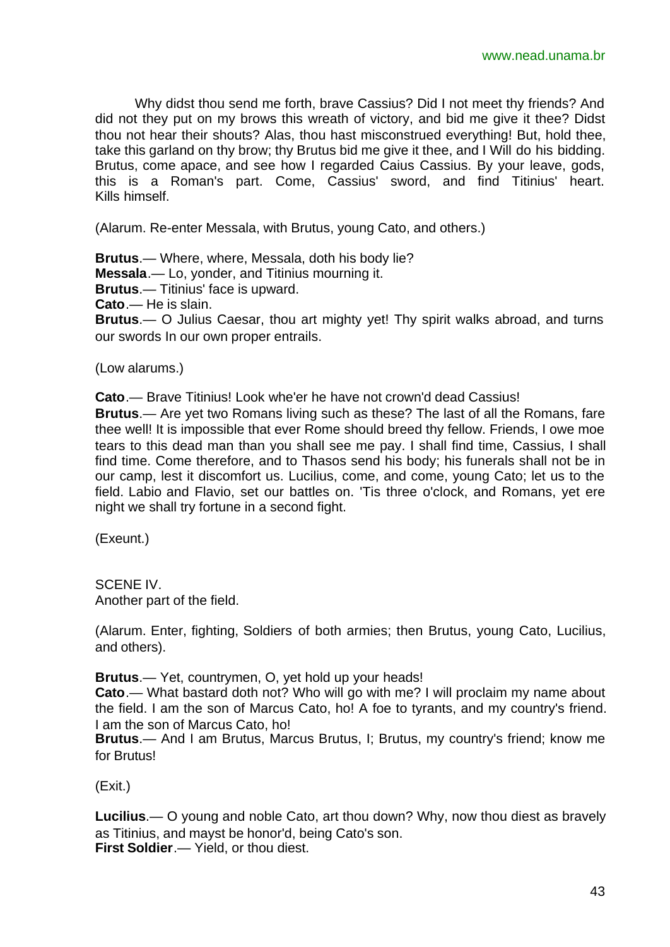Why didst thou send me forth, brave Cassius? Did I not meet thy friends? And did not they put on my brows this wreath of victory, and bid me give it thee? Didst thou not hear their shouts? Alas, thou hast misconstrued everything! But, hold thee, take this garland on thy brow; thy Brutus bid me give it thee, and I Will do his bidding. Brutus, come apace, and see how I regarded Caius Cassius. By your leave, gods, this is a Roman's part. Come, Cassius' sword, and find Titinius' heart. Kills himself.

(Alarum. Re-enter Messala, with Brutus, young Cato, and others.)

**Brutus**.— Where, where, Messala, doth his body lie?

**Messala**.— Lo, yonder, and Titinius mourning it.

**Brutus**.— Titinius' face is upward.

**Cato**.— He is slain.

**Brutus**.— O Julius Caesar, thou art mighty yet! Thy spirit walks abroad, and turns our swords In our own proper entrails.

#### (Low alarums.)

**Cato**.— Brave Titinius! Look whe'er he have not crown'd dead Cassius!

**Brutus**.— Are yet two Romans living such as these? The last of all the Romans, fare thee well! It is impossible that ever Rome should breed thy fellow. Friends, I owe moe tears to this dead man than you shall see me pay. I shall find time, Cassius, I shall find time. Come therefore, and to Thasos send his body; his funerals shall not be in our camp, lest it discomfort us. Lucilius, come, and come, young Cato; let us to the field. Labio and Flavio, set our battles on. 'Tis three o'clock, and Romans, yet ere night we shall try fortune in a second fight.

(Exeunt.)

SCENE IV. Another part of the field.

(Alarum. Enter, fighting, Soldiers of both armies; then Brutus, young Cato, Lucilius, and others).

**Brutus**.— Yet, countrymen, O, yet hold up your heads!

**Cato**.— What bastard doth not? Who will go with me? I will proclaim my name about the field. I am the son of Marcus Cato, ho! A foe to tyrants, and my country's friend. I am the son of Marcus Cato, ho!

**Brutus**.— And I am Brutus, Marcus Brutus, I; Brutus, my country's friend; know me for Brutus!

(Exit.)

**Lucilius**.— O young and noble Cato, art thou down? Why, now thou diest as bravely as Titinius, and mayst be honor'd, being Cato's son. **First Soldier**.— Yield, or thou diest.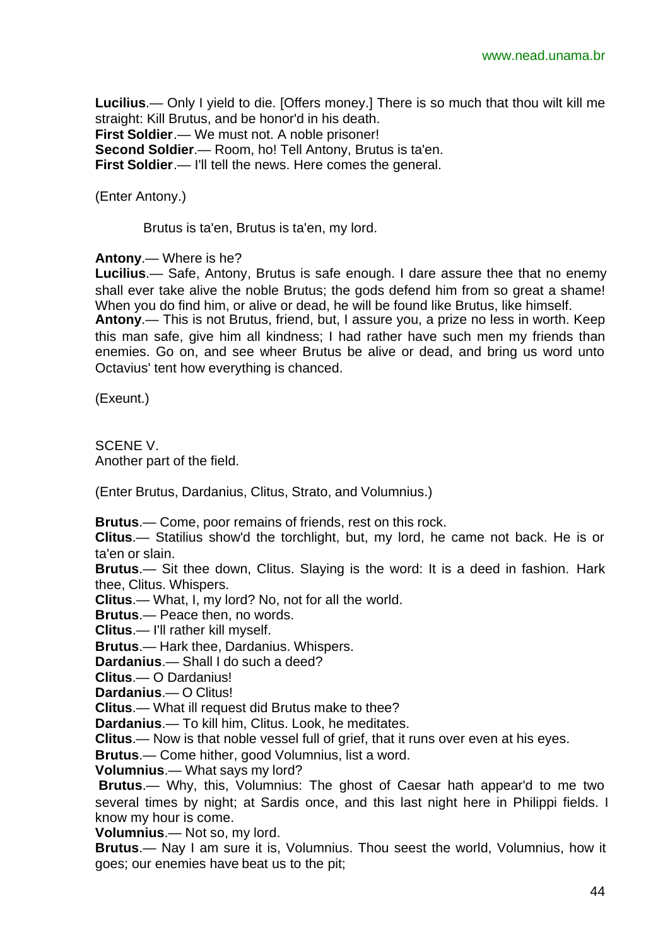**Lucilius**.— Only I yield to die. [Offers money.] There is so much that thou wilt kill me straight: Kill Brutus, and be honor'd in his death. **First Soldier**.— We must not. A noble prisoner! **Second Soldier**.— Room, ho! Tell Antony, Brutus is ta'en. **First Soldier**.— I'll tell the news. Here comes the general.

(Enter Antony.)

Brutus is ta'en, Brutus is ta'en, my lord.

**Antony**.— Where is he?

**Lucilius**.— Safe, Antony, Brutus is safe enough. I dare assure thee that no enemy shall ever take alive the noble Brutus; the gods defend him from so great a shame! When you do find him, or alive or dead, he will be found like Brutus, like himself. **Antony**.— This is not Brutus, friend, but, I assure you, a prize no less in worth. Keep this man safe, give him all kindness; I had rather have such men my friends than enemies. Go on, and see wheer Brutus be alive or dead, and bring us word unto Octavius' tent how everything is chanced.

(Exeunt.)

SCENE V. Another part of the field.

(Enter Brutus, Dardanius, Clitus, Strato, and Volumnius.)

**Brutus**.— Come, poor remains of friends, rest on this rock.

**Clitus**.— Statilius show'd the torchlight, but, my lord, he came not back. He is or ta'en or slain.

**Brutus**.— Sit thee down, Clitus. Slaying is the word: It is a deed in fashion. Hark thee, Clitus. Whispers.

**Clitus**.— What, I, my lord? No, not for all the world.

**Brutus**.— Peace then, no words.

**Clitus**.— I'll rather kill myself.

**Brutus**.— Hark thee, Dardanius. Whispers.

**Dardanius**.— Shall I do such a deed?

**Clitus**.— O Dardanius!

**Dardanius**.— O Clitus!

**Clitus**.— What ill request did Brutus make to thee?

**Dardanius**.— To kill him, Clitus. Look, he meditates.

**Clitus**.— Now is that noble vessel full of grief, that it runs over even at his eyes.

**Brutus**.— Come hither, good Volumnius, list a word.

**Volumnius**.— What says my lord?

**Brutus**.— Why, this, Volumnius: The ghost of Caesar hath appear'd to me two several times by night; at Sardis once, and this last night here in Philippi fields. I know my hour is come.

**Volumnius**.— Not so, my lord.

**Brutus**.— Nay I am sure it is, Volumnius. Thou seest the world, Volumnius, how it goes; our enemies have beat us to the pit;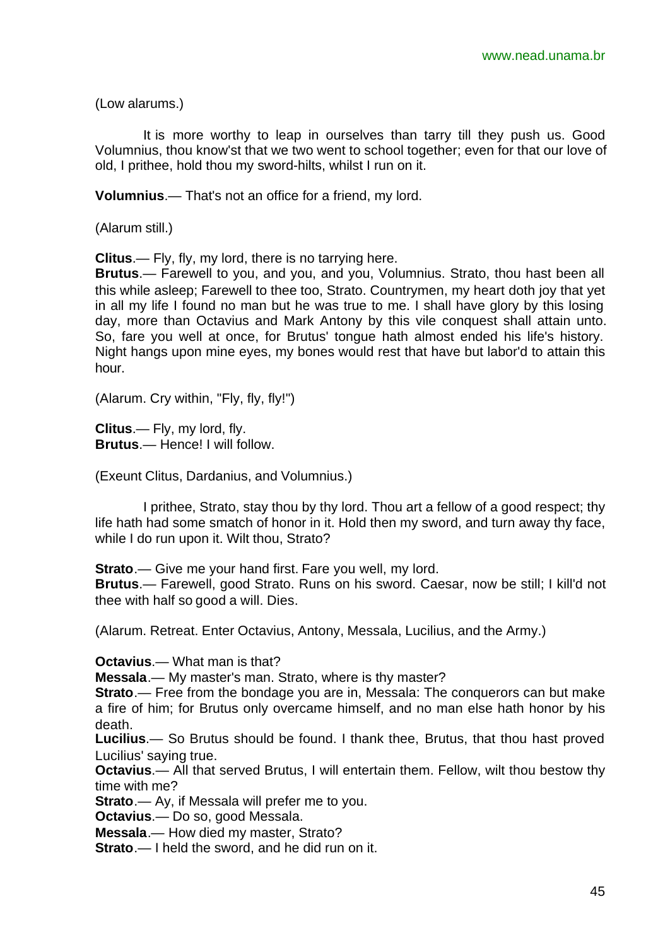(Low alarums.)

It is more worthy to leap in ourselves than tarry till they push us. Good Volumnius, thou know'st that we two went to school together; even for that our love of old, I prithee, hold thou my sword-hilts, whilst I run on it.

**Volumnius**.— That's not an office for a friend, my lord.

(Alarum still.)

**Clitus**.— Fly, fly, my lord, there is no tarrying here.

**Brutus**.— Farewell to you, and you, and you, Volumnius. Strato, thou hast been all this while asleep; Farewell to thee too, Strato. Countrymen, my heart doth joy that yet in all my life I found no man but he was true to me. I shall have glory by this losing day, more than Octavius and Mark Antony by this vile conquest shall attain unto. So, fare you well at once, for Brutus' tongue hath almost ended his life's history. Night hangs upon mine eyes, my bones would rest that have but labor'd to attain this hour.

(Alarum. Cry within, "Fly, fly, fly!")

**Clitus**.— Fly, my lord, fly. **Brutus**.— Hence! I will follow.

(Exeunt Clitus, Dardanius, and Volumnius.)

I prithee, Strato, stay thou by thy lord. Thou art a fellow of a good respect; thy life hath had some smatch of honor in it. Hold then my sword, and turn away thy face, while I do run upon it. Wilt thou, Strato?

**Strato**.— Give me your hand first. Fare you well, my lord.

**Brutus**.— Farewell, good Strato. Runs on his sword. Caesar, now be still; I kill'd not thee with half so good a will. Dies.

(Alarum. Retreat. Enter Octavius, Antony, Messala, Lucilius, and the Army.)

**Octavius**.— What man is that?

**Messala**.— My master's man. Strato, where is thy master?

**Strato**.— Free from the bondage you are in, Messala: The conquerors can but make a fire of him; for Brutus only overcame himself, and no man else hath honor by his death.

**Lucilius**.— So Brutus should be found. I thank thee, Brutus, that thou hast proved Lucilius' saying true.

**Octavius**.— All that served Brutus, I will entertain them. Fellow, wilt thou bestow thy time with me?

**Strato.**— Ay, if Messala will prefer me to you.

**Octavius**.— Do so, good Messala.

**Messala**.— How died my master, Strato?

**Strato**.— I held the sword, and he did run on it.